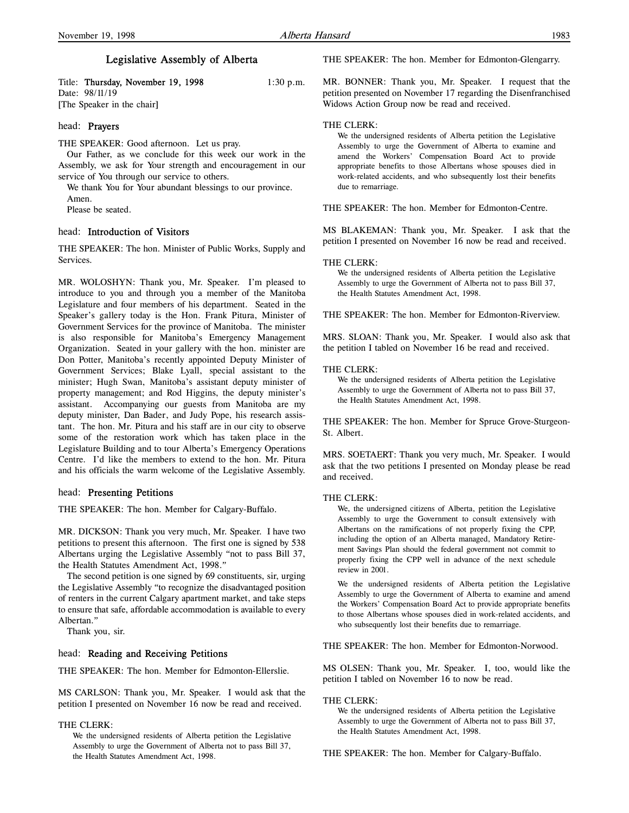# Legislative Assembly of Alberta

Title: Thursday, November 19, 1998 1:30 p.m. Date: 98/11/19

[The Speaker in the chair]

### head: Prayers

THE SPEAKER: Good afternoon. Let us pray.

Our Father, as we conclude for this week our work in the Assembly, we ask for Your strength and encouragement in our service of You through our service to others.

We thank You for Your abundant blessings to our province. Amen.

Please be seated.

# head: Introduction of Visitors

THE SPEAKER: The hon. Minister of Public Works, Supply and Services.

MR. WOLOSHYN: Thank you, Mr. Speaker. I'm pleased to introduce to you and through you a member of the Manitoba Legislature and four members of his department. Seated in the Speaker's gallery today is the Hon. Frank Pitura, Minister of Government Services for the province of Manitoba. The minister is also responsible for Manitoba's Emergency Management Organization. Seated in your gallery with the hon. minister are Don Potter, Manitoba's recently appointed Deputy Minister of Government Services; Blake Lyall, special assistant to the minister; Hugh Swan, Manitoba's assistant deputy minister of property management; and Rod Higgins, the deputy minister's assistant. Accompanying our guests from Manitoba are my deputy minister, Dan Bader, and Judy Pope, his research assistant. The hon. Mr. Pitura and his staff are in our city to observe some of the restoration work which has taken place in the Legislature Building and to tour Alberta's Emergency Operations Centre. I'd like the members to extend to the hon. Mr. Pitura and his officials the warm welcome of the Legislative Assembly.

## head: Presenting Petitions

THE SPEAKER: The hon. Member for Calgary-Buffalo.

MR. DICKSON: Thank you very much, Mr. Speaker. I have two petitions to present this afternoon. The first one is signed by 538 Albertans urging the Legislative Assembly "not to pass Bill 37, the Health Statutes Amendment Act, 1998."

The second petition is one signed by 69 constituents, sir, urging the Legislative Assembly "to recognize the disadvantaged position of renters in the current Calgary apartment market, and take steps to ensure that safe, affordable accommodation is available to every Albertan."

Thank you, sir.

### head: Reading and Receiving Petitions

THE SPEAKER: The hon. Member for Edmonton-Ellerslie.

MS CARLSON: Thank you, Mr. Speaker. I would ask that the petition I presented on November 16 now be read and received.

#### THE CLERK:

We the undersigned residents of Alberta petition the Legislative Assembly to urge the Government of Alberta not to pass Bill 37, the Health Statutes Amendment Act, 1998.

THE SPEAKER: The hon. Member for Edmonton-Glengarry.

MR. BONNER: Thank you, Mr. Speaker. I request that the petition presented on November 17 regarding the Disenfranchised Widows Action Group now be read and received.

## THE CLERK:

We the undersigned residents of Alberta petition the Legislative Assembly to urge the Government of Alberta to examine and amend the Workers' Compensation Board Act to provide appropriate benefits to those Albertans whose spouses died in work-related accidents, and who subsequently lost their benefits due to remarriage.

THE SPEAKER: The hon. Member for Edmonton-Centre.

MS BLAKEMAN: Thank you, Mr. Speaker. I ask that the petition I presented on November 16 now be read and received.

#### THE CLERK:

We the undersigned residents of Alberta petition the Legislative Assembly to urge the Government of Alberta not to pass Bill 37, the Health Statutes Amendment Act, 1998.

THE SPEAKER: The hon. Member for Edmonton-Riverview.

MRS. SLOAN: Thank you, Mr. Speaker. I would also ask that the petition I tabled on November 16 be read and received.

#### THE CLERK:

We the undersigned residents of Alberta petition the Legislative Assembly to urge the Government of Alberta not to pass Bill 37, the Health Statutes Amendment Act, 1998.

THE SPEAKER: The hon. Member for Spruce Grove-Sturgeon-St. Albert.

MRS. SOETAERT: Thank you very much, Mr. Speaker. I would ask that the two petitions I presented on Monday please be read and received.

#### THE CLERK:

We, the undersigned citizens of Alberta, petition the Legislative Assembly to urge the Government to consult extensively with Albertans on the ramifications of not properly fixing the CPP, including the option of an Alberta managed, Mandatory Retirement Savings Plan should the federal government not commit to properly fixing the CPP well in advance of the next schedule review in 2001.

We the undersigned residents of Alberta petition the Legislative Assembly to urge the Government of Alberta to examine and amend the Workers' Compensation Board Act to provide appropriate benefits to those Albertans whose spouses died in work-related accidents, and who subsequently lost their benefits due to remarriage.

THE SPEAKER: The hon. Member for Edmonton-Norwood.

MS OLSEN: Thank you, Mr. Speaker. I, too, would like the petition I tabled on November 16 to now be read.

#### THE CLERK:

We the undersigned residents of Alberta petition the Legislative Assembly to urge the Government of Alberta not to pass Bill 37, the Health Statutes Amendment Act, 1998.

THE SPEAKER: The hon. Member for Calgary-Buffalo.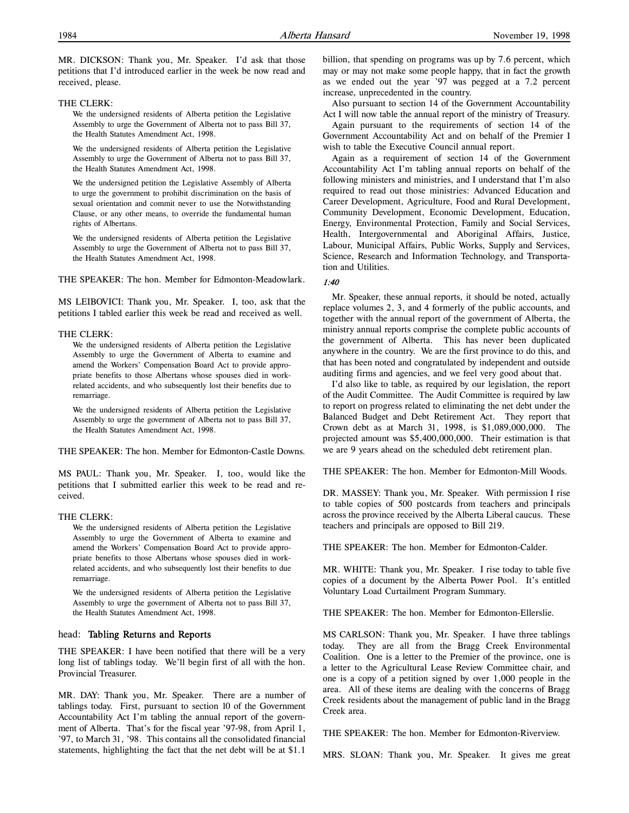### THE CLERK:

We the undersigned residents of Alberta petition the Legislative Assembly to urge the Government of Alberta not to pass Bill 37, the Health Statutes Amendment Act, 1998.

We the undersigned residents of Alberta petition the Legislative Assembly to urge the Government of Alberta not to pass Bill 37, the Health Statutes Amendment Act, 1998.

We the undersigned petition the Legislative Assembly of Alberta to urge the government to prohibit discrimination on the basis of sexual orientation and commit never to use the Notwithstanding Clause, or any other means, to override the fundamental human rights of Albertans.

We the undersigned residents of Alberta petition the Legislative Assembly to urge the Government of Alberta not to pass Bill 37, the Health Statutes Amendment Act, 1998.

THE SPEAKER: The hon. Member for Edmonton-Meadowlark.

MS LEIBOVICI: Thank you, Mr. Speaker. I, too, ask that the petitions I tabled earlier this week be read and received as well.

### THE CLERK:

We the undersigned residents of Alberta petition the Legislative Assembly to urge the Government of Alberta to examine and amend the Workers' Compensation Board Act to provide appropriate benefits to those Albertans whose spouses died in workrelated accidents, and who subsequently lost their benefits due to remarriage.

We the undersigned residents of Alberta petition the Legislative Assembly to urge the government of Alberta not to pass Bill 37, the Health Statutes Amendment Act, 1998.

THE SPEAKER: The hon. Member for Edmonton-Castle Downs.

MS PAUL: Thank you, Mr. Speaker. I, too, would like the petitions that I submitted earlier this week to be read and received.

### THE CLERK:

We the undersigned residents of Alberta petition the Legislative Assembly to urge the Government of Alberta to examine and amend the Workers' Compensation Board Act to provide appropriate benefits to those Albertans whose spouses died in workrelated accidents, and who subsequently lost their benefits to due remarriage.

We the undersigned residents of Alberta petition the Legislative Assembly to urge the government of Alberta not to pass Bill 37, the Health Statutes Amendment Act, 1998.

## head: Tabling Returns and Reports

THE SPEAKER: I have been notified that there will be a very long list of tablings today. We'll begin first of all with the hon. Provincial Treasurer.

MR. DAY: Thank you, Mr. Speaker. There are a number of tablings today. First, pursuant to section 10 of the Government Accountability Act I'm tabling the annual report of the government of Alberta. That's for the fiscal year '97-98, from April 1, '97, to March 31, '98. This contains all the consolidated financial statements, highlighting the fact that the net debt will be at \$1.1

billion, that spending on programs was up by 7.6 percent, which may or may not make some people happy, that in fact the growth as we ended out the year '97 was pegged at a 7.2 percent increase, unprecedented in the country.

Also pursuant to section 14 of the Government Accountability Act I will now table the annual report of the ministry of Treasury.

Again pursuant to the requirements of section 14 of the Government Accountability Act and on behalf of the Premier I wish to table the Executive Council annual report.

Again as a requirement of section 14 of the Government Accountability Act I'm tabling annual reports on behalf of the following ministers and ministries, and I understand that I'm also required to read out those ministries: Advanced Education and Career Development, Agriculture, Food and Rural Development, Community Development, Economic Development, Education, Energy, Environmental Protection, Family and Social Services, Health, Intergovernmental and Aboriginal Affairs, Justice, Labour, Municipal Affairs, Public Works, Supply and Services, Science, Research and Information Technology, and Transportation and Utilities.

#### 1:40

Mr. Speaker, these annual reports, it should be noted, actually replace volumes 2, 3, and 4 formerly of the public accounts, and together with the annual report of the government of Alberta, the ministry annual reports comprise the complete public accounts of the government of Alberta. This has never been duplicated anywhere in the country. We are the first province to do this, and that has been noted and congratulated by independent and outside auditing firms and agencies, and we feel very good about that.

I'd also like to table, as required by our legislation, the report of the Audit Committee. The Audit Committee is required by law to report on progress related to eliminating the net debt under the Balanced Budget and Debt Retirement Act. They report that Crown debt as at March 31, 1998, is \$1,089,000,000. The projected amount was \$5,400,000,000. Their estimation is that we are 9 years ahead on the scheduled debt retirement plan.

THE SPEAKER: The hon. Member for Edmonton-Mill Woods.

DR. MASSEY: Thank you, Mr. Speaker. With permission I rise to table copies of 500 postcards from teachers and principals across the province received by the Alberta Liberal caucus. These teachers and principals are opposed to Bill 219.

THE SPEAKER: The hon. Member for Edmonton-Calder.

MR. WHITE: Thank you, Mr. Speaker. I rise today to table five copies of a document by the Alberta Power Pool. It's entitled Voluntary Load Curtailment Program Summary.

THE SPEAKER: The hon. Member for Edmonton-Ellerslie.

MS CARLSON: Thank you, Mr. Speaker. I have three tablings today. They are all from the Bragg Creek Environmental Coalition. One is a letter to the Premier of the province, one is a letter to the Agricultural Lease Review Committee chair, and one is a copy of a petition signed by over 1,000 people in the area. All of these items are dealing with the concerns of Bragg Creek residents about the management of public land in the Bragg Creek area.

THE SPEAKER: The hon. Member for Edmonton-Riverview.

MRS. SLOAN: Thank you, Mr. Speaker. It gives me great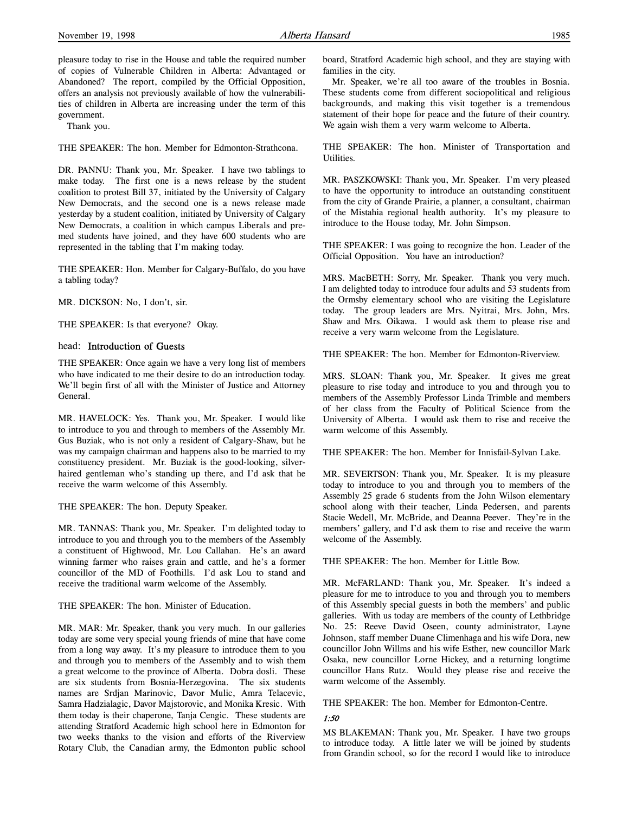pleasure today to rise in the House and table the required number of copies of Vulnerable Children in Alberta: Advantaged or Abandoned? The report, compiled by the Official Opposition, offers an analysis not previously available of how the vulnerabilities of children in Alberta are increasing under the term of this government.

Thank you.

THE SPEAKER: The hon. Member for Edmonton-Strathcona.

DR. PANNU: Thank you, Mr. Speaker. I have two tablings to make today. The first one is a news release by the student coalition to protest Bill 37, initiated by the University of Calgary New Democrats, and the second one is a news release made yesterday by a student coalition, initiated by University of Calgary New Democrats, a coalition in which campus Liberals and premed students have joined, and they have 600 students who are represented in the tabling that I'm making today.

THE SPEAKER: Hon. Member for Calgary-Buffalo, do you have a tabling today?

MR. DICKSON: No, I don't, sir.

THE SPEAKER: Is that everyone? Okay.

## head: Introduction of Guests

THE SPEAKER: Once again we have a very long list of members who have indicated to me their desire to do an introduction today. We'll begin first of all with the Minister of Justice and Attorney General.

MR. HAVELOCK: Yes. Thank you, Mr. Speaker. I would like to introduce to you and through to members of the Assembly Mr. Gus Buziak, who is not only a resident of Calgary-Shaw, but he was my campaign chairman and happens also to be married to my constituency president. Mr. Buziak is the good-looking, silverhaired gentleman who's standing up there, and I'd ask that he receive the warm welcome of this Assembly.

THE SPEAKER: The hon. Deputy Speaker.

MR. TANNAS: Thank you, Mr. Speaker. I'm delighted today to introduce to you and through you to the members of the Assembly a constituent of Highwood, Mr. Lou Callahan. He's an award winning farmer who raises grain and cattle, and he's a former councillor of the MD of Foothills. I'd ask Lou to stand and receive the traditional warm welcome of the Assembly.

THE SPEAKER: The hon. Minister of Education.

MR. MAR: Mr. Speaker, thank you very much. In our galleries today are some very special young friends of mine that have come from a long way away. It's my pleasure to introduce them to you and through you to members of the Assembly and to wish them a great welcome to the province of Alberta. Dobra dosli. These are six students from Bosnia-Herzegovina. The six students names are Srdjan Marinovic, Davor Mulic, Amra Telacevic, Samra Hadzialagic, Davor Majstorovic, and Monika Kresic. With them today is their chaperone, Tanja Cengic. These students are attending Stratford Academic high school here in Edmonton for two weeks thanks to the vision and efforts of the Riverview Rotary Club, the Canadian army, the Edmonton public school

board, Stratford Academic high school, and they are staying with families in the city.

Mr. Speaker, we're all too aware of the troubles in Bosnia. These students come from different sociopolitical and religious backgrounds, and making this visit together is a tremendous statement of their hope for peace and the future of their country. We again wish them a very warm welcome to Alberta.

THE SPEAKER: The hon. Minister of Transportation and Utilities.

MR. PASZKOWSKI: Thank you, Mr. Speaker. I'm very pleased to have the opportunity to introduce an outstanding constituent from the city of Grande Prairie, a planner, a consultant, chairman of the Mistahia regional health authority. It's my pleasure to introduce to the House today, Mr. John Simpson.

THE SPEAKER: I was going to recognize the hon. Leader of the Official Opposition. You have an introduction?

MRS. MacBETH: Sorry, Mr. Speaker. Thank you very much. I am delighted today to introduce four adults and 53 students from the Ormsby elementary school who are visiting the Legislature today. The group leaders are Mrs. Nyitrai, Mrs. John, Mrs. Shaw and Mrs. Oikawa. I would ask them to please rise and receive a very warm welcome from the Legislature.

THE SPEAKER: The hon. Member for Edmonton-Riverview.

MRS. SLOAN: Thank you, Mr. Speaker. It gives me great pleasure to rise today and introduce to you and through you to members of the Assembly Professor Linda Trimble and members of her class from the Faculty of Political Science from the University of Alberta. I would ask them to rise and receive the warm welcome of this Assembly.

THE SPEAKER: The hon. Member for Innisfail-Sylvan Lake.

MR. SEVERTSON: Thank you, Mr. Speaker. It is my pleasure today to introduce to you and through you to members of the Assembly 25 grade 6 students from the John Wilson elementary school along with their teacher, Linda Pedersen, and parents Stacie Wedell, Mr. McBride, and Deanna Peever. They're in the members' gallery, and I'd ask them to rise and receive the warm welcome of the Assembly.

THE SPEAKER: The hon. Member for Little Bow.

MR. McFARLAND: Thank you, Mr. Speaker. It's indeed a pleasure for me to introduce to you and through you to members of this Assembly special guests in both the members' and public galleries. With us today are members of the county of Lethbridge No. 25: Reeve David Oseen, county administrator, Layne Johnson, staff member Duane Climenhaga and his wife Dora, new councillor John Willms and his wife Esther, new councillor Mark Osaka, new councillor Lorne Hickey, and a returning longtime councillor Hans Rutz. Would they please rise and receive the warm welcome of the Assembly.

THE SPEAKER: The hon. Member for Edmonton-Centre.

### 1:50

MS BLAKEMAN: Thank you, Mr. Speaker. I have two groups to introduce today. A little later we will be joined by students from Grandin school, so for the record I would like to introduce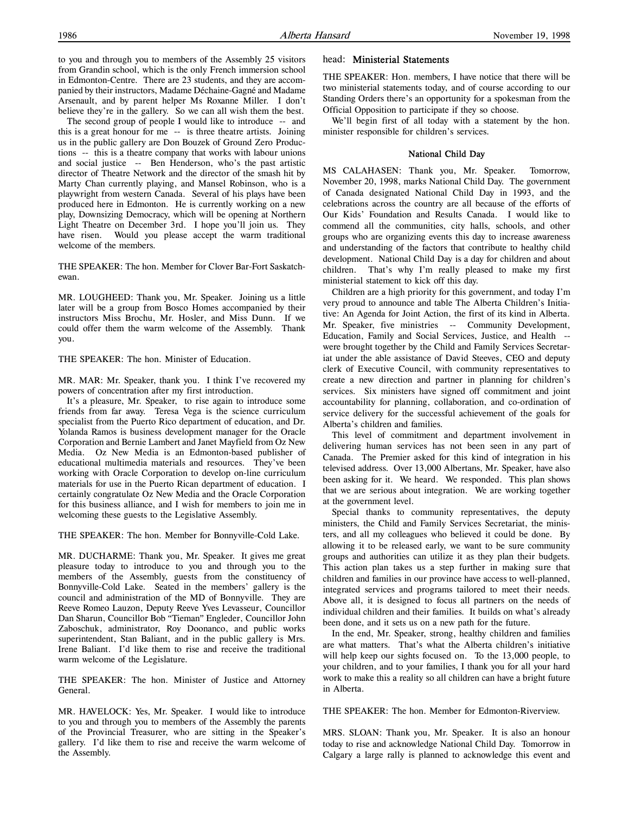to you and through you to members of the Assembly 25 visitors from Grandin school, which is the only French immersion school in Edmonton-Centre. There are 23 students, and they are accompanied by their instructors, Madame Déchaine-Gagné and Madame Arsenault, and by parent helper Ms Roxanne Miller. I don't believe they're in the gallery. So we can all wish them the best.

The second group of people I would like to introduce -- and this is a great honour for me -- is three theatre artists. Joining us in the public gallery are Don Bouzek of Ground Zero Productions -- this is a theatre company that works with labour unions and social justice -- Ben Henderson, who's the past artistic director of Theatre Network and the director of the smash hit by Marty Chan currently playing, and Mansel Robinson, who is a playwright from western Canada. Several of his plays have been produced here in Edmonton. He is currently working on a new play, Downsizing Democracy, which will be opening at Northern Light Theatre on December 3rd. I hope you'll join us. They have risen. Would you please accept the warm traditional welcome of the members.

THE SPEAKER: The hon. Member for Clover Bar-Fort Saskatchewan.

MR. LOUGHEED: Thank you, Mr. Speaker. Joining us a little later will be a group from Bosco Homes accompanied by their instructors Miss Brochu, Mr. Hosler, and Miss Dunn. If we could offer them the warm welcome of the Assembly. Thank you.

THE SPEAKER: The hon. Minister of Education.

MR. MAR: Mr. Speaker, thank you. I think I've recovered my powers of concentration after my first introduction.

It's a pleasure, Mr. Speaker, to rise again to introduce some friends from far away. Teresa Vega is the science curriculum specialist from the Puerto Rico department of education, and Dr. Yolanda Ramos is business development manager for the Oracle Corporation and Bernie Lambert and Janet Mayfield from Oz New Media. Oz New Media is an Edmonton-based publisher of educational multimedia materials and resources. They've been working with Oracle Corporation to develop on-line curriculum materials for use in the Puerto Rican department of education. I certainly congratulate Oz New Media and the Oracle Corporation for this business alliance, and I wish for members to join me in welcoming these guests to the Legislative Assembly.

THE SPEAKER: The hon. Member for Bonnyville-Cold Lake.

MR. DUCHARME: Thank you, Mr. Speaker. It gives me great pleasure today to introduce to you and through you to the members of the Assembly, guests from the constituency of Bonnyville-Cold Lake. Seated in the members' gallery is the council and administration of the MD of Bonnyville. They are Reeve Romeo Lauzon, Deputy Reeve Yves Levasseur, Councillor Dan Sharun, Councillor Bob "Tieman" Engleder, Councillor John Zaboschuk, administrator, Roy Doonanco, and public works superintendent, Stan Baliant, and in the public gallery is Mrs. Irene Baliant. I'd like them to rise and receive the traditional warm welcome of the Legislature.

THE SPEAKER: The hon. Minister of Justice and Attorney General.

MR. HAVELOCK: Yes, Mr. Speaker. I would like to introduce to you and through you to members of the Assembly the parents of the Provincial Treasurer, who are sitting in the Speaker's gallery. I'd like them to rise and receive the warm welcome of the Assembly.

## head: Ministerial Statements

THE SPEAKER: Hon. members, I have notice that there will be two ministerial statements today, and of course according to our Standing Orders there's an opportunity for a spokesman from the Official Opposition to participate if they so choose.

We'll begin first of all today with a statement by the hon. minister responsible for children's services.

#### National Child Day

MS CALAHASEN: Thank you, Mr. Speaker. Tomorrow, November 20, 1998, marks National Child Day. The government of Canada designated National Child Day in 1993, and the celebrations across the country are all because of the efforts of Our Kids' Foundation and Results Canada. I would like to commend all the communities, city halls, schools, and other groups who are organizing events this day to increase awareness and understanding of the factors that contribute to healthy child development. National Child Day is a day for children and about children. That's why I'm really pleased to make my first ministerial statement to kick off this day.

Children are a high priority for this government, and today I'm very proud to announce and table The Alberta Children's Initiative: An Agenda for Joint Action, the first of its kind in Alberta. Mr. Speaker, five ministries -- Community Development, Education, Family and Social Services, Justice, and Health - were brought together by the Child and Family Services Secretariat under the able assistance of David Steeves, CEO and deputy clerk of Executive Council, with community representatives to create a new direction and partner in planning for children's services. Six ministers have signed off commitment and joint accountability for planning, collaboration, and co-ordination of service delivery for the successful achievement of the goals for Alberta's children and families.

This level of commitment and department involvement in delivering human services has not been seen in any part of Canada. The Premier asked for this kind of integration in his televised address. Over 13,000 Albertans, Mr. Speaker, have also been asking for it. We heard. We responded. This plan shows that we are serious about integration. We are working together at the government level.

Special thanks to community representatives, the deputy ministers, the Child and Family Services Secretariat, the ministers, and all my colleagues who believed it could be done. By allowing it to be released early, we want to be sure community groups and authorities can utilize it as they plan their budgets. This action plan takes us a step further in making sure that children and families in our province have access to well-planned, integrated services and programs tailored to meet their needs. Above all, it is designed to focus all partners on the needs of individual children and their families. It builds on what's already been done, and it sets us on a new path for the future.

In the end, Mr. Speaker, strong, healthy children and families are what matters. That's what the Alberta children's initiative will help keep our sights focused on. To the 13,000 people, to your children, and to your families, I thank you for all your hard work to make this a reality so all children can have a bright future in Alberta.

THE SPEAKER: The hon. Member for Edmonton-Riverview.

MRS. SLOAN: Thank you, Mr. Speaker. It is also an honour today to rise and acknowledge National Child Day. Tomorrow in Calgary a large rally is planned to acknowledge this event and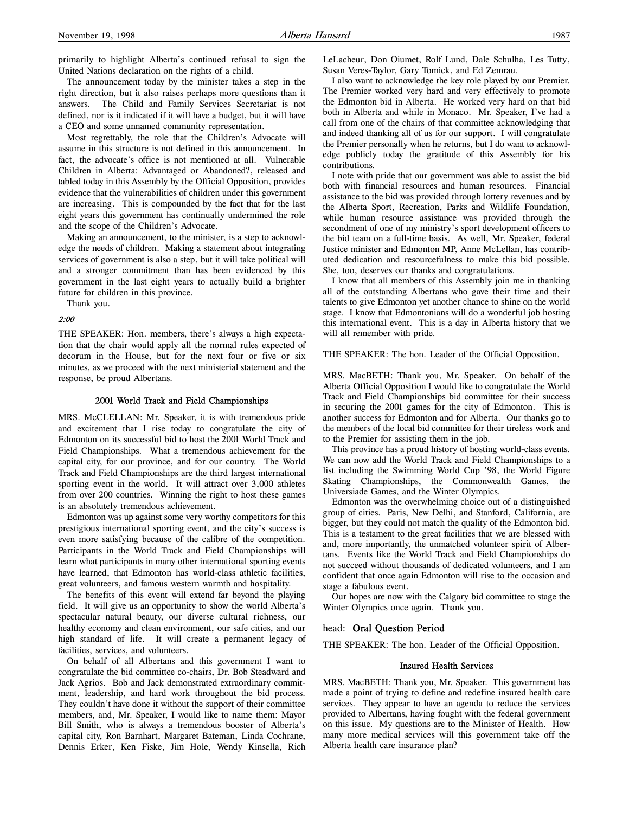primarily to highlight Alberta's continued refusal to sign the United Nations declaration on the rights of a child.

The announcement today by the minister takes a step in the right direction, but it also raises perhaps more questions than it answers. The Child and Family Services Secretariat is not defined, nor is it indicated if it will have a budget, but it will have a CEO and some unnamed community representation.

Most regrettably, the role that the Children's Advocate will assume in this structure is not defined in this announcement. In fact, the advocate's office is not mentioned at all. Vulnerable Children in Alberta: Advantaged or Abandoned?, released and tabled today in this Assembly by the Official Opposition, provides evidence that the vulnerabilities of children under this government are increasing. This is compounded by the fact that for the last eight years this government has continually undermined the role and the scope of the Children's Advocate.

Making an announcement, to the minister, is a step to acknowledge the needs of children. Making a statement about integrating services of government is also a step, but it will take political will and a stronger commitment than has been evidenced by this government in the last eight years to actually build a brighter future for children in this province.

Thank you.

#### 2:00

THE SPEAKER: Hon. members, there's always a high expectation that the chair would apply all the normal rules expected of decorum in the House, but for the next four or five or six minutes, as we proceed with the next ministerial statement and the response, be proud Albertans.

#### 2001 World Track and Field Championships

MRS. McCLELLAN: Mr. Speaker, it is with tremendous pride and excitement that I rise today to congratulate the city of Edmonton on its successful bid to host the 2001 World Track and Field Championships. What a tremendous achievement for the capital city, for our province, and for our country. The World Track and Field Championships are the third largest international sporting event in the world. It will attract over 3,000 athletes from over 200 countries. Winning the right to host these games is an absolutely tremendous achievement.

Edmonton was up against some very worthy competitors for this prestigious international sporting event, and the city's success is even more satisfying because of the calibre of the competition. Participants in the World Track and Field Championships will learn what participants in many other international sporting events have learned, that Edmonton has world-class athletic facilities, great volunteers, and famous western warmth and hospitality.

The benefits of this event will extend far beyond the playing field. It will give us an opportunity to show the world Alberta's spectacular natural beauty, our diverse cultural richness, our healthy economy and clean environment, our safe cities, and our high standard of life. It will create a permanent legacy of facilities, services, and volunteers.

On behalf of all Albertans and this government I want to congratulate the bid committee co-chairs, Dr. Bob Steadward and Jack Agrios. Bob and Jack demonstrated extraordinary commitment, leadership, and hard work throughout the bid process. They couldn't have done it without the support of their committee members, and, Mr. Speaker, I would like to name them: Mayor Bill Smith, who is always a tremendous booster of Alberta's capital city, Ron Barnhart, Margaret Bateman, Linda Cochrane, Dennis Erker, Ken Fiske, Jim Hole, Wendy Kinsella, Rich

LeLacheur, Don Oiumet, Rolf Lund, Dale Schulha, Les Tutty, Susan Veres-Taylor, Gary Tomick, and Ed Zemrau.

I also want to acknowledge the key role played by our Premier. The Premier worked very hard and very effectively to promote the Edmonton bid in Alberta. He worked very hard on that bid both in Alberta and while in Monaco. Mr. Speaker, I've had a call from one of the chairs of that committee acknowledging that and indeed thanking all of us for our support. I will congratulate the Premier personally when he returns, but I do want to acknowledge publicly today the gratitude of this Assembly for his contributions.

I note with pride that our government was able to assist the bid both with financial resources and human resources. Financial assistance to the bid was provided through lottery revenues and by the Alberta Sport, Recreation, Parks and Wildlife Foundation, while human resource assistance was provided through the secondment of one of my ministry's sport development officers to the bid team on a full-time basis. As well, Mr. Speaker, federal Justice minister and Edmonton MP, Anne McLellan, has contributed dedication and resourcefulness to make this bid possible. She, too, deserves our thanks and congratulations.

I know that all members of this Assembly join me in thanking all of the outstanding Albertans who gave their time and their talents to give Edmonton yet another chance to shine on the world stage. I know that Edmontonians will do a wonderful job hosting this international event. This is a day in Alberta history that we will all remember with pride.

## THE SPEAKER: The hon. Leader of the Official Opposition.

MRS. MacBETH: Thank you, Mr. Speaker. On behalf of the Alberta Official Opposition I would like to congratulate the World Track and Field Championships bid committee for their success in securing the 2001 games for the city of Edmonton. This is another success for Edmonton and for Alberta. Our thanks go to the members of the local bid committee for their tireless work and to the Premier for assisting them in the job.

This province has a proud history of hosting world-class events. We can now add the World Track and Field Championships to a list including the Swimming World Cup '98, the World Figure Skating Championships, the Commonwealth Games, the Universiade Games, and the Winter Olympics.

Edmonton was the overwhelming choice out of a distinguished group of cities. Paris, New Delhi, and Stanford, California, are bigger, but they could not match the quality of the Edmonton bid. This is a testament to the great facilities that we are blessed with and, more importantly, the unmatched volunteer spirit of Albertans. Events like the World Track and Field Championships do not succeed without thousands of dedicated volunteers, and I am confident that once again Edmonton will rise to the occasion and stage a fabulous event.

Our hopes are now with the Calgary bid committee to stage the Winter Olympics once again. Thank you.

#### head: Oral Question Period

THE SPEAKER: The hon. Leader of the Official Opposition.

#### Insured Health Services

MRS. MacBETH: Thank you, Mr. Speaker. This government has made a point of trying to define and redefine insured health care services. They appear to have an agenda to reduce the services provided to Albertans, having fought with the federal government on this issue. My questions are to the Minister of Health. How many more medical services will this government take off the Alberta health care insurance plan?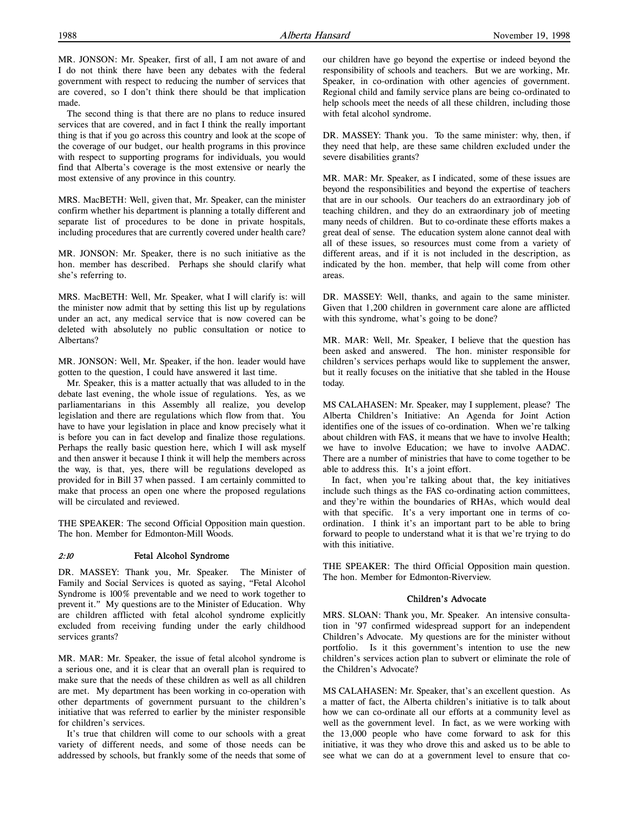MR. JONSON: Mr. Speaker, first of all, I am not aware of and I do not think there have been any debates with the federal government with respect to reducing the number of services that are covered, so I don't think there should be that implication made.

The second thing is that there are no plans to reduce insured services that are covered, and in fact I think the really important thing is that if you go across this country and look at the scope of the coverage of our budget, our health programs in this province with respect to supporting programs for individuals, you would find that Alberta's coverage is the most extensive or nearly the most extensive of any province in this country.

MRS. MacBETH: Well, given that, Mr. Speaker, can the minister confirm whether his department is planning a totally different and separate list of procedures to be done in private hospitals, including procedures that are currently covered under health care?

MR. JONSON: Mr. Speaker, there is no such initiative as the hon. member has described. Perhaps she should clarify what she's referring to.

MRS. MacBETH: Well, Mr. Speaker, what I will clarify is: will the minister now admit that by setting this list up by regulations under an act, any medical service that is now covered can be deleted with absolutely no public consultation or notice to Albertans?

MR. JONSON: Well, Mr. Speaker, if the hon. leader would have gotten to the question, I could have answered it last time.

Mr. Speaker, this is a matter actually that was alluded to in the debate last evening, the whole issue of regulations. Yes, as we parliamentarians in this Assembly all realize, you develop legislation and there are regulations which flow from that. You have to have your legislation in place and know precisely what it is before you can in fact develop and finalize those regulations. Perhaps the really basic question here, which I will ask myself and then answer it because I think it will help the members across the way, is that, yes, there will be regulations developed as provided for in Bill 37 when passed. I am certainly committed to make that process an open one where the proposed regulations will be circulated and reviewed.

THE SPEAKER: The second Official Opposition main question. The hon. Member for Edmonton-Mill Woods.

### 2:10 Fetal Alcohol Syndrome

DR. MASSEY: Thank you, Mr. Speaker. The Minister of Family and Social Services is quoted as saying, "Fetal Alcohol Syndrome is 100% preventable and we need to work together to prevent it." My questions are to the Minister of Education. Why are children afflicted with fetal alcohol syndrome explicitly excluded from receiving funding under the early childhood services grants?

MR. MAR: Mr. Speaker, the issue of fetal alcohol syndrome is a serious one, and it is clear that an overall plan is required to make sure that the needs of these children as well as all children are met. My department has been working in co-operation with other departments of government pursuant to the children's initiative that was referred to earlier by the minister responsible for children's services.

It's true that children will come to our schools with a great variety of different needs, and some of those needs can be addressed by schools, but frankly some of the needs that some of our children have go beyond the expertise or indeed beyond the responsibility of schools and teachers. But we are working, Mr. Speaker, in co-ordination with other agencies of government. Regional child and family service plans are being co-ordinated to help schools meet the needs of all these children, including those with fetal alcohol syndrome.

DR. MASSEY: Thank you. To the same minister: why, then, if they need that help, are these same children excluded under the severe disabilities grants?

MR. MAR: Mr. Speaker, as I indicated, some of these issues are beyond the responsibilities and beyond the expertise of teachers that are in our schools. Our teachers do an extraordinary job of teaching children, and they do an extraordinary job of meeting many needs of children. But to co-ordinate these efforts makes a great deal of sense. The education system alone cannot deal with all of these issues, so resources must come from a variety of different areas, and if it is not included in the description, as indicated by the hon. member, that help will come from other areas.

DR. MASSEY: Well, thanks, and again to the same minister. Given that 1,200 children in government care alone are afflicted with this syndrome, what's going to be done?

MR. MAR: Well, Mr. Speaker, I believe that the question has been asked and answered. The hon. minister responsible for children's services perhaps would like to supplement the answer, but it really focuses on the initiative that she tabled in the House today.

MS CALAHASEN: Mr. Speaker, may I supplement, please? The Alberta Children's Initiative: An Agenda for Joint Action identifies one of the issues of co-ordination. When we're talking about children with FAS, it means that we have to involve Health; we have to involve Education; we have to involve AADAC. There are a number of ministries that have to come together to be able to address this. It's a joint effort.

In fact, when you're talking about that, the key initiatives include such things as the FAS co-ordinating action committees, and they're within the boundaries of RHAs, which would deal with that specific. It's a very important one in terms of coordination. I think it's an important part to be able to bring forward to people to understand what it is that we're trying to do with this initiative.

THE SPEAKER: The third Official Opposition main question. The hon. Member for Edmonton-Riverview.

### Children's Advocate

MRS. SLOAN: Thank you, Mr. Speaker. An intensive consultation in '97 confirmed widespread support for an independent Children's Advocate. My questions are for the minister without portfolio. Is it this government's intention to use the new children's services action plan to subvert or eliminate the role of the Children's Advocate?

MS CALAHASEN: Mr. Speaker, that's an excellent question. As a matter of fact, the Alberta children's initiative is to talk about how we can co-ordinate all our efforts at a community level as well as the government level. In fact, as we were working with the 13,000 people who have come forward to ask for this initiative, it was they who drove this and asked us to be able to see what we can do at a government level to ensure that co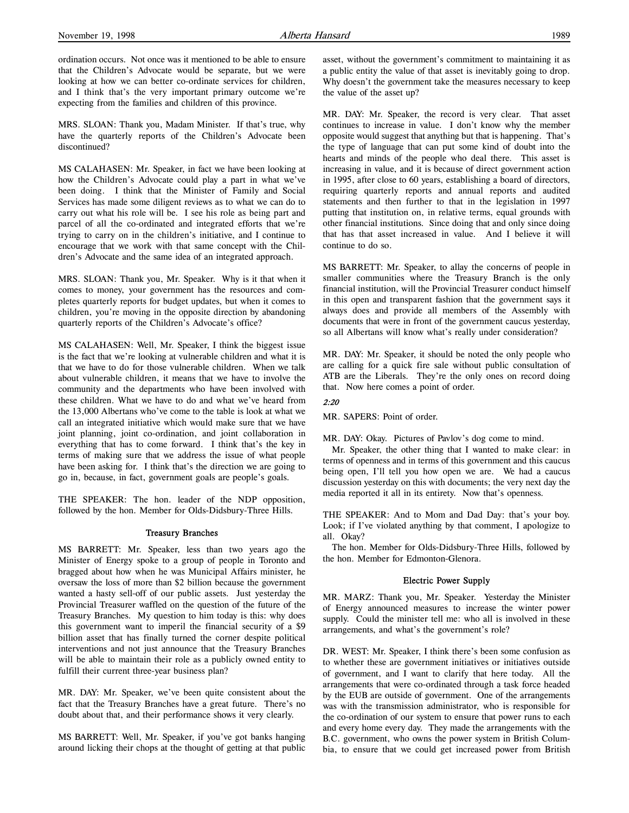ordination occurs. Not once was it mentioned to be able to ensure that the Children's Advocate would be separate, but we were looking at how we can better co-ordinate services for children, and I think that's the very important primary outcome we're expecting from the families and children of this province.

MRS. SLOAN: Thank you, Madam Minister. If that's true, why have the quarterly reports of the Children's Advocate been discontinued?

MS CALAHASEN: Mr. Speaker, in fact we have been looking at how the Children's Advocate could play a part in what we've been doing. I think that the Minister of Family and Social Services has made some diligent reviews as to what we can do to carry out what his role will be. I see his role as being part and parcel of all the co-ordinated and integrated efforts that we're trying to carry on in the children's initiative, and I continue to encourage that we work with that same concept with the Children's Advocate and the same idea of an integrated approach.

MRS. SLOAN: Thank you, Mr. Speaker. Why is it that when it comes to money, your government has the resources and completes quarterly reports for budget updates, but when it comes to children, you're moving in the opposite direction by abandoning quarterly reports of the Children's Advocate's office?

MS CALAHASEN: Well, Mr. Speaker, I think the biggest issue is the fact that we're looking at vulnerable children and what it is that we have to do for those vulnerable children. When we talk about vulnerable children, it means that we have to involve the community and the departments who have been involved with these children. What we have to do and what we've heard from the 13,000 Albertans who've come to the table is look at what we call an integrated initiative which would make sure that we have joint planning, joint co-ordination, and joint collaboration in everything that has to come forward. I think that's the key in terms of making sure that we address the issue of what people have been asking for. I think that's the direction we are going to go in, because, in fact, government goals are people's goals.

THE SPEAKER: The hon. leader of the NDP opposition, followed by the hon. Member for Olds-Didsbury-Three Hills.

### Treasury Branches

MS BARRETT: Mr. Speaker, less than two years ago the Minister of Energy spoke to a group of people in Toronto and bragged about how when he was Municipal Affairs minister, he oversaw the loss of more than \$2 billion because the government wanted a hasty sell-off of our public assets. Just yesterday the Provincial Treasurer waffled on the question of the future of the Treasury Branches. My question to him today is this: why does this government want to imperil the financial security of a \$9 billion asset that has finally turned the corner despite political interventions and not just announce that the Treasury Branches will be able to maintain their role as a publicly owned entity to fulfill their current three-year business plan?

MR. DAY: Mr. Speaker, we've been quite consistent about the fact that the Treasury Branches have a great future. There's no doubt about that, and their performance shows it very clearly.

MS BARRETT: Well, Mr. Speaker, if you've got banks hanging around licking their chops at the thought of getting at that public asset, without the government's commitment to maintaining it as a public entity the value of that asset is inevitably going to drop. Why doesn't the government take the measures necessary to keep the value of the asset up?

MR. DAY: Mr. Speaker, the record is very clear. That asset continues to increase in value. I don't know why the member opposite would suggest that anything but that is happening. That's the type of language that can put some kind of doubt into the hearts and minds of the people who deal there. This asset is increasing in value, and it is because of direct government action in 1995, after close to 60 years, establishing a board of directors, requiring quarterly reports and annual reports and audited statements and then further to that in the legislation in 1997 putting that institution on, in relative terms, equal grounds with other financial institutions. Since doing that and only since doing that has that asset increased in value. And I believe it will continue to do so.

MS BARRETT: Mr. Speaker, to allay the concerns of people in smaller communities where the Treasury Branch is the only financial institution, will the Provincial Treasurer conduct himself in this open and transparent fashion that the government says it always does and provide all members of the Assembly with documents that were in front of the government caucus yesterday, so all Albertans will know what's really under consideration?

MR. DAY: Mr. Speaker, it should be noted the only people who are calling for a quick fire sale without public consultation of ATB are the Liberals. They're the only ones on record doing that. Now here comes a point of order.

### 2:20

MR. SAPERS: Point of order.

MR. DAY: Okay. Pictures of Pavlov's dog come to mind.

Mr. Speaker, the other thing that I wanted to make clear: in terms of openness and in terms of this government and this caucus being open, I'll tell you how open we are. We had a caucus discussion yesterday on this with documents; the very next day the media reported it all in its entirety. Now that's openness.

THE SPEAKER: And to Mom and Dad Day: that's your boy. Look; if I've violated anything by that comment, I apologize to all. Okay?

The hon. Member for Olds-Didsbury-Three Hills, followed by the hon. Member for Edmonton-Glenora.

## Electric Power Supply

MR. MARZ: Thank you, Mr. Speaker. Yesterday the Minister of Energy announced measures to increase the winter power supply. Could the minister tell me: who all is involved in these arrangements, and what's the government's role?

DR. WEST: Mr. Speaker, I think there's been some confusion as to whether these are government initiatives or initiatives outside of government, and I want to clarify that here today. All the arrangements that were co-ordinated through a task force headed by the EUB are outside of government. One of the arrangements was with the transmission administrator, who is responsible for the co-ordination of our system to ensure that power runs to each and every home every day. They made the arrangements with the B.C. government, who owns the power system in British Columbia, to ensure that we could get increased power from British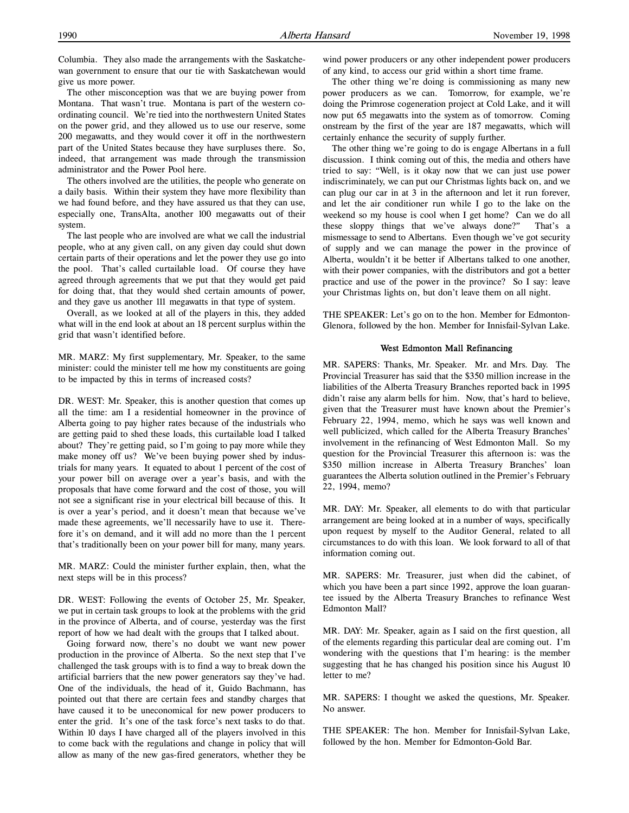Columbia. They also made the arrangements with the Saskatchewan government to ensure that our tie with Saskatchewan would give us more power.

The other misconception was that we are buying power from Montana. That wasn't true. Montana is part of the western coordinating council. We're tied into the northwestern United States on the power grid, and they allowed us to use our reserve, some 200 megawatts, and they would cover it off in the northwestern part of the United States because they have surpluses there. So, indeed, that arrangement was made through the transmission administrator and the Power Pool here.

The others involved are the utilities, the people who generate on a daily basis. Within their system they have more flexibility than we had found before, and they have assured us that they can use, especially one, TransAlta, another 100 megawatts out of their system.

The last people who are involved are what we call the industrial people, who at any given call, on any given day could shut down certain parts of their operations and let the power they use go into the pool. That's called curtailable load. Of course they have agreed through agreements that we put that they would get paid for doing that, that they would shed certain amounts of power, and they gave us another 111 megawatts in that type of system.

Overall, as we looked at all of the players in this, they added what will in the end look at about an 18 percent surplus within the grid that wasn't identified before.

MR. MARZ: My first supplementary, Mr. Speaker, to the same minister: could the minister tell me how my constituents are going to be impacted by this in terms of increased costs?

DR. WEST: Mr. Speaker, this is another question that comes up all the time: am I a residential homeowner in the province of Alberta going to pay higher rates because of the industrials who are getting paid to shed these loads, this curtailable load I talked about? They're getting paid, so I'm going to pay more while they make money off us? We've been buying power shed by industrials for many years. It equated to about 1 percent of the cost of your power bill on average over a year's basis, and with the proposals that have come forward and the cost of those, you will not see a significant rise in your electrical bill because of this. It is over a year's period, and it doesn't mean that because we've made these agreements, we'll necessarily have to use it. Therefore it's on demand, and it will add no more than the 1 percent that's traditionally been on your power bill for many, many years.

MR. MARZ: Could the minister further explain, then, what the next steps will be in this process?

DR. WEST: Following the events of October 25, Mr. Speaker, we put in certain task groups to look at the problems with the grid in the province of Alberta, and of course, yesterday was the first report of how we had dealt with the groups that I talked about.

Going forward now, there's no doubt we want new power production in the province of Alberta. So the next step that I've challenged the task groups with is to find a way to break down the artificial barriers that the new power generators say they've had. One of the individuals, the head of it, Guido Bachmann, has pointed out that there are certain fees and standby charges that have caused it to be uneconomical for new power producers to enter the grid. It's one of the task force's next tasks to do that. Within 10 days I have charged all of the players involved in this to come back with the regulations and change in policy that will allow as many of the new gas-fired generators, whether they be

wind power producers or any other independent power producers of any kind, to access our grid within a short time frame.

The other thing we're doing is commissioning as many new power producers as we can. Tomorrow, for example, we're doing the Primrose cogeneration project at Cold Lake, and it will now put 65 megawatts into the system as of tomorrow. Coming onstream by the first of the year are 187 megawatts, which will certainly enhance the security of supply further.

The other thing we're going to do is engage Albertans in a full discussion. I think coming out of this, the media and others have tried to say: "Well, is it okay now that we can just use power indiscriminately, we can put our Christmas lights back on, and we can plug our car in at 3 in the afternoon and let it run forever, and let the air conditioner run while I go to the lake on the weekend so my house is cool when I get home? Can we do all these sloppy things that we've always done?" That's a mismessage to send to Albertans. Even though we've got security of supply and we can manage the power in the province of Alberta, wouldn't it be better if Albertans talked to one another, with their power companies, with the distributors and got a better practice and use of the power in the province? So I say: leave your Christmas lights on, but don't leave them on all night.

THE SPEAKER: Let's go on to the hon. Member for Edmonton-Glenora, followed by the hon. Member for Innisfail-Sylvan Lake.

#### West Edmonton Mall Refinancing

MR. SAPERS: Thanks, Mr. Speaker. Mr. and Mrs. Day. The Provincial Treasurer has said that the \$350 million increase in the liabilities of the Alberta Treasury Branches reported back in 1995 didn't raise any alarm bells for him. Now, that's hard to believe, given that the Treasurer must have known about the Premier's February 22, 1994, memo, which he says was well known and well publicized, which called for the Alberta Treasury Branches' involvement in the refinancing of West Edmonton Mall. So my question for the Provincial Treasurer this afternoon is: was the \$350 million increase in Alberta Treasury Branches' loan guarantees the Alberta solution outlined in the Premier's February 22, 1994, memo?

MR. DAY: Mr. Speaker, all elements to do with that particular arrangement are being looked at in a number of ways, specifically upon request by myself to the Auditor General, related to all circumstances to do with this loan. We look forward to all of that information coming out.

MR. SAPERS: Mr. Treasurer, just when did the cabinet, of which you have been a part since 1992, approve the loan guarantee issued by the Alberta Treasury Branches to refinance West Edmonton Mall?

MR. DAY: Mr. Speaker, again as I said on the first question, all of the elements regarding this particular deal are coming out. I'm wondering with the questions that I'm hearing: is the member suggesting that he has changed his position since his August 10 letter to me?

MR. SAPERS: I thought we asked the questions, Mr. Speaker. No answer.

THE SPEAKER: The hon. Member for Innisfail-Sylvan Lake, followed by the hon. Member for Edmonton-Gold Bar.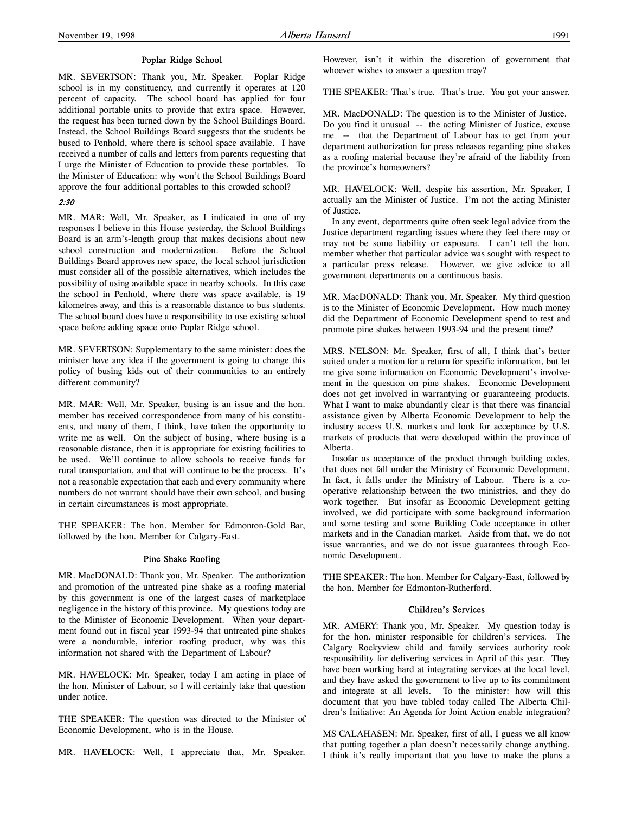MR. SEVERTSON: Thank you, Mr. Speaker. Poplar Ridge school is in my constituency, and currently it operates at 120 percent of capacity. The school board has applied for four additional portable units to provide that extra space. However, the request has been turned down by the School Buildings Board. Instead, the School Buildings Board suggests that the students be bused to Penhold, where there is school space available. I have received a number of calls and letters from parents requesting that I urge the Minister of Education to provide these portables. To the Minister of Education: why won't the School Buildings Board approve the four additional portables to this crowded school?

### 2:30

MR. MAR: Well, Mr. Speaker, as I indicated in one of my responses I believe in this House yesterday, the School Buildings Board is an arm's-length group that makes decisions about new school construction and modernization. Before the School Buildings Board approves new space, the local school jurisdiction must consider all of the possible alternatives, which includes the possibility of using available space in nearby schools. In this case the school in Penhold, where there was space available, is 19 kilometres away, and this is a reasonable distance to bus students. The school board does have a responsibility to use existing school space before adding space onto Poplar Ridge school.

MR. SEVERTSON: Supplementary to the same minister: does the minister have any idea if the government is going to change this policy of busing kids out of their communities to an entirely different community?

MR. MAR: Well, Mr. Speaker, busing is an issue and the hon. member has received correspondence from many of his constituents, and many of them, I think, have taken the opportunity to write me as well. On the subject of busing, where busing is a reasonable distance, then it is appropriate for existing facilities to be used. We'll continue to allow schools to receive funds for rural transportation, and that will continue to be the process. It's not a reasonable expectation that each and every community where numbers do not warrant should have their own school, and busing in certain circumstances is most appropriate.

THE SPEAKER: The hon. Member for Edmonton-Gold Bar, followed by the hon. Member for Calgary-East.

### Pine Shake Roofing

MR. MacDONALD: Thank you, Mr. Speaker. The authorization and promotion of the untreated pine shake as a roofing material by this government is one of the largest cases of marketplace negligence in the history of this province. My questions today are to the Minister of Economic Development. When your department found out in fiscal year 1993-94 that untreated pine shakes were a nondurable, inferior roofing product, why was this information not shared with the Department of Labour?

MR. HAVELOCK: Mr. Speaker, today I am acting in place of the hon. Minister of Labour, so I will certainly take that question under notice.

THE SPEAKER: The question was directed to the Minister of Economic Development, who is in the House.

MR. HAVELOCK: Well, I appreciate that, Mr. Speaker.

However, isn't it within the discretion of government that whoever wishes to answer a question may?

THE SPEAKER: That's true. That's true. You got your answer.

MR. MacDONALD: The question is to the Minister of Justice. Do you find it unusual -- the acting Minister of Justice, excuse me -- that the Department of Labour has to get from your department authorization for press releases regarding pine shakes as a roofing material because they're afraid of the liability from the province's homeowners?

MR. HAVELOCK: Well, despite his assertion, Mr. Speaker, I actually am the Minister of Justice. I'm not the acting Minister of Justice.

In any event, departments quite often seek legal advice from the Justice department regarding issues where they feel there may or may not be some liability or exposure. I can't tell the hon. member whether that particular advice was sought with respect to a particular press release. However, we give advice to all government departments on a continuous basis.

MR. MacDONALD: Thank you, Mr. Speaker. My third question is to the Minister of Economic Development. How much money did the Department of Economic Development spend to test and promote pine shakes between 1993-94 and the present time?

MRS. NELSON: Mr. Speaker, first of all, I think that's better suited under a motion for a return for specific information, but let me give some information on Economic Development's involvement in the question on pine shakes. Economic Development does not get involved in warrantying or guaranteeing products. What I want to make abundantly clear is that there was financial assistance given by Alberta Economic Development to help the industry access U.S. markets and look for acceptance by U.S. markets of products that were developed within the province of Alberta.

Insofar as acceptance of the product through building codes, that does not fall under the Ministry of Economic Development. In fact, it falls under the Ministry of Labour. There is a cooperative relationship between the two ministries, and they do work together. But insofar as Economic Development getting involved, we did participate with some background information and some testing and some Building Code acceptance in other markets and in the Canadian market. Aside from that, we do not issue warranties, and we do not issue guarantees through Economic Development.

THE SPEAKER: The hon. Member for Calgary-East, followed by the hon. Member for Edmonton-Rutherford.

### Children's Services

MR. AMERY: Thank you, Mr. Speaker. My question today is for the hon. minister responsible for children's services. The Calgary Rockyview child and family services authority took responsibility for delivering services in April of this year. They have been working hard at integrating services at the local level, and they have asked the government to live up to its commitment and integrate at all levels. To the minister: how will this document that you have tabled today called The Alberta Children's Initiative: An Agenda for Joint Action enable integration?

MS CALAHASEN: Mr. Speaker, first of all, I guess we all know that putting together a plan doesn't necessarily change anything. I think it's really important that you have to make the plans a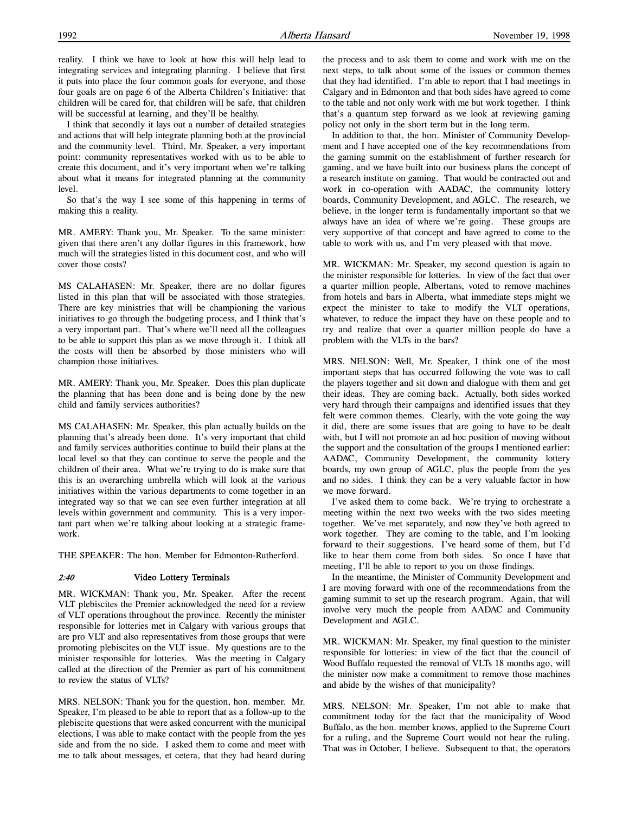I think that secondly it lays out a number of detailed strategies and actions that will help integrate planning both at the provincial and the community level. Third, Mr. Speaker, a very important point: community representatives worked with us to be able to create this document, and it's very important when we're talking about what it means for integrated planning at the community level.

So that's the way I see some of this happening in terms of making this a reality.

MR. AMERY: Thank you, Mr. Speaker. To the same minister: given that there aren't any dollar figures in this framework, how much will the strategies listed in this document cost, and who will cover those costs?

MS CALAHASEN: Mr. Speaker, there are no dollar figures listed in this plan that will be associated with those strategies. There are key ministries that will be championing the various initiatives to go through the budgeting process, and I think that's a very important part. That's where we'll need all the colleagues to be able to support this plan as we move through it. I think all the costs will then be absorbed by those ministers who will champion those initiatives.

MR. AMERY: Thank you, Mr. Speaker. Does this plan duplicate the planning that has been done and is being done by the new child and family services authorities?

MS CALAHASEN: Mr. Speaker, this plan actually builds on the planning that's already been done. It's very important that child and family services authorities continue to build their plans at the local level so that they can continue to serve the people and the children of their area. What we're trying to do is make sure that this is an overarching umbrella which will look at the various initiatives within the various departments to come together in an integrated way so that we can see even further integration at all levels within government and community. This is a very important part when we're talking about looking at a strategic framework.

THE SPEAKER: The hon. Member for Edmonton-Rutherford.

# 2:40 Video Lottery Terminals

MR. WICKMAN: Thank you, Mr. Speaker. After the recent VLT plebiscites the Premier acknowledged the need for a review of VLT operations throughout the province. Recently the minister responsible for lotteries met in Calgary with various groups that are pro VLT and also representatives from those groups that were promoting plebiscites on the VLT issue. My questions are to the minister responsible for lotteries. Was the meeting in Calgary called at the direction of the Premier as part of his commitment to review the status of VLTs?

MRS. NELSON: Thank you for the question, hon. member. Mr. Speaker, I'm pleased to be able to report that as a follow-up to the plebiscite questions that were asked concurrent with the municipal elections, I was able to make contact with the people from the yes side and from the no side. I asked them to come and meet with me to talk about messages, et cetera, that they had heard during

the process and to ask them to come and work with me on the next steps, to talk about some of the issues or common themes that they had identified. I'm able to report that I had meetings in Calgary and in Edmonton and that both sides have agreed to come to the table and not only work with me but work together. I think that's a quantum step forward as we look at reviewing gaming policy not only in the short term but in the long term.

In addition to that, the hon. Minister of Community Development and I have accepted one of the key recommendations from the gaming summit on the establishment of further research for gaming, and we have built into our business plans the concept of a research institute on gaming. That would be contracted out and work in co-operation with AADAC, the community lottery boards, Community Development, and AGLC. The research, we believe, in the longer term is fundamentally important so that we always have an idea of where we're going. These groups are very supportive of that concept and have agreed to come to the table to work with us, and I'm very pleased with that move.

MR. WICKMAN: Mr. Speaker, my second question is again to the minister responsible for lotteries. In view of the fact that over a quarter million people, Albertans, voted to remove machines from hotels and bars in Alberta, what immediate steps might we expect the minister to take to modify the VLT operations, whatever, to reduce the impact they have on these people and to try and realize that over a quarter million people do have a problem with the VLTs in the bars?

MRS. NELSON: Well, Mr. Speaker, I think one of the most important steps that has occurred following the vote was to call the players together and sit down and dialogue with them and get their ideas. They are coming back. Actually, both sides worked very hard through their campaigns and identified issues that they felt were common themes. Clearly, with the vote going the way it did, there are some issues that are going to have to be dealt with, but I will not promote an ad hoc position of moving without the support and the consultation of the groups I mentioned earlier: AADAC, Community Development, the community lottery boards, my own group of AGLC, plus the people from the yes and no sides. I think they can be a very valuable factor in how we move forward.

I've asked them to come back. We're trying to orchestrate a meeting within the next two weeks with the two sides meeting together. We've met separately, and now they've both agreed to work together. They are coming to the table, and I'm looking forward to their suggestions. I've heard some of them, but I'd like to hear them come from both sides. So once I have that meeting, I'll be able to report to you on those findings.

In the meantime, the Minister of Community Development and I are moving forward with one of the recommendations from the gaming summit to set up the research program. Again, that will involve very much the people from AADAC and Community Development and AGLC.

MR. WICKMAN: Mr. Speaker, my final question to the minister responsible for lotteries: in view of the fact that the council of Wood Buffalo requested the removal of VLTs 18 months ago, will the minister now make a commitment to remove those machines and abide by the wishes of that municipality?

MRS. NELSON: Mr. Speaker, I'm not able to make that commitment today for the fact that the municipality of Wood Buffalo, as the hon. member knows, applied to the Supreme Court for a ruling, and the Supreme Court would not hear the ruling. That was in October, I believe. Subsequent to that, the operators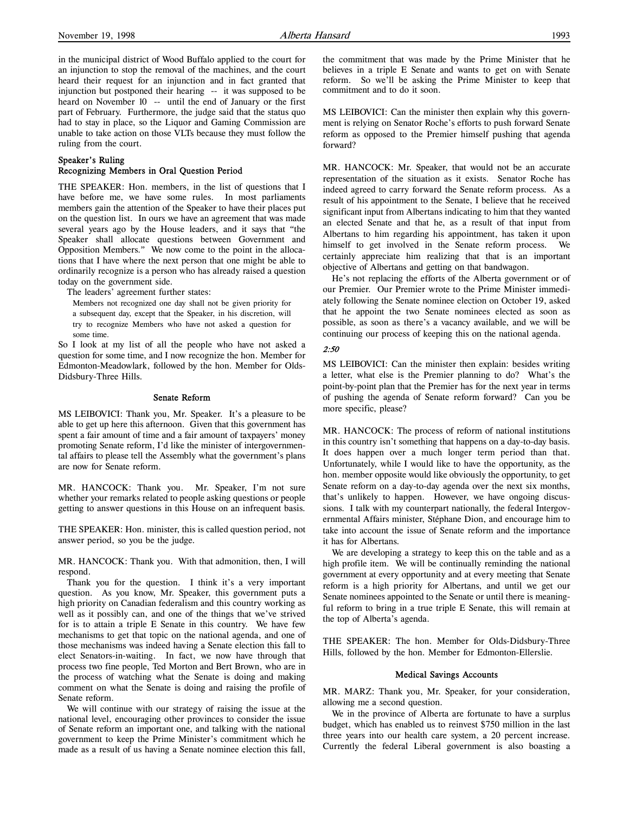in the municipal district of Wood Buffalo applied to the court for an injunction to stop the removal of the machines, and the court heard their request for an injunction and in fact granted that injunction but postponed their hearing -- it was supposed to be heard on November 10 -- until the end of January or the first part of February. Furthermore, the judge said that the status quo had to stay in place, so the Liquor and Gaming Commission are unable to take action on those VLTs because they must follow the ruling from the court.

### Speaker's Ruling

### Recognizing Members in Oral Question Period

THE SPEAKER: Hon. members, in the list of questions that I have before me, we have some rules. In most parliaments members gain the attention of the Speaker to have their places put on the question list. In ours we have an agreement that was made several years ago by the House leaders, and it says that "the Speaker shall allocate questions between Government and Opposition Members." We now come to the point in the allocations that I have where the next person that one might be able to ordinarily recognize is a person who has already raised a question today on the government side.

The leaders' agreement further states:

Members not recognized one day shall not be given priority for a subsequent day, except that the Speaker, in his discretion, will try to recognize Members who have not asked a question for some time.

So I look at my list of all the people who have not asked a question for some time, and I now recognize the hon. Member for Edmonton-Meadowlark, followed by the hon. Member for Olds-Didsbury-Three Hills.

#### Senate Reform

MS LEIBOVICI: Thank you, Mr. Speaker. It's a pleasure to be able to get up here this afternoon. Given that this government has spent a fair amount of time and a fair amount of taxpayers' money promoting Senate reform, I'd like the minister of intergovernmental affairs to please tell the Assembly what the government's plans are now for Senate reform.

MR. HANCOCK: Thank you. Mr. Speaker, I'm not sure whether your remarks related to people asking questions or people getting to answer questions in this House on an infrequent basis.

THE SPEAKER: Hon. minister, this is called question period, not answer period, so you be the judge.

MR. HANCOCK: Thank you. With that admonition, then, I will respond.

Thank you for the question. I think it's a very important question. As you know, Mr. Speaker, this government puts a high priority on Canadian federalism and this country working as well as it possibly can, and one of the things that we've strived for is to attain a triple E Senate in this country. We have few mechanisms to get that topic on the national agenda, and one of those mechanisms was indeed having a Senate election this fall to elect Senators-in-waiting. In fact, we now have through that process two fine people, Ted Morton and Bert Brown, who are in the process of watching what the Senate is doing and making comment on what the Senate is doing and raising the profile of Senate reform.

We will continue with our strategy of raising the issue at the national level, encouraging other provinces to consider the issue of Senate reform an important one, and talking with the national government to keep the Prime Minister's commitment which he made as a result of us having a Senate nominee election this fall,

the commitment that was made by the Prime Minister that he believes in a triple E Senate and wants to get on with Senate reform. So we'll be asking the Prime Minister to keep that commitment and to do it soon.

MS LEIBOVICI: Can the minister then explain why this government is relying on Senator Roche's efforts to push forward Senate reform as opposed to the Premier himself pushing that agenda forward?

MR. HANCOCK: Mr. Speaker, that would not be an accurate representation of the situation as it exists. Senator Roche has indeed agreed to carry forward the Senate reform process. As a result of his appointment to the Senate, I believe that he received significant input from Albertans indicating to him that they wanted an elected Senate and that he, as a result of that input from Albertans to him regarding his appointment, has taken it upon himself to get involved in the Senate reform process. We certainly appreciate him realizing that that is an important objective of Albertans and getting on that bandwagon.

He's not replacing the efforts of the Alberta government or of our Premier. Our Premier wrote to the Prime Minister immediately following the Senate nominee election on October 19, asked that he appoint the two Senate nominees elected as soon as possible, as soon as there's a vacancy available, and we will be continuing our process of keeping this on the national agenda.

### 2:50

MS LEIBOVICI: Can the minister then explain: besides writing a letter, what else is the Premier planning to do? What's the point-by-point plan that the Premier has for the next year in terms of pushing the agenda of Senate reform forward? Can you be more specific, please?

MR. HANCOCK: The process of reform of national institutions in this country isn't something that happens on a day-to-day basis. It does happen over a much longer term period than that. Unfortunately, while I would like to have the opportunity, as the hon. member opposite would like obviously the opportunity, to get Senate reform on a day-to-day agenda over the next six months, that's unlikely to happen. However, we have ongoing discussions. I talk with my counterpart nationally, the federal Intergovernmental Affairs minister, Stéphane Dion, and encourage him to take into account the issue of Senate reform and the importance it has for Albertans.

We are developing a strategy to keep this on the table and as a high profile item. We will be continually reminding the national government at every opportunity and at every meeting that Senate reform is a high priority for Albertans, and until we get our Senate nominees appointed to the Senate or until there is meaningful reform to bring in a true triple E Senate, this will remain at the top of Alberta's agenda.

THE SPEAKER: The hon. Member for Olds-Didsbury-Three Hills, followed by the hon. Member for Edmonton-Ellerslie.

#### Medical Savings Accounts

MR. MARZ: Thank you, Mr. Speaker, for your consideration, allowing me a second question.

We in the province of Alberta are fortunate to have a surplus budget, which has enabled us to reinvest \$750 million in the last three years into our health care system, a 20 percent increase. Currently the federal Liberal government is also boasting a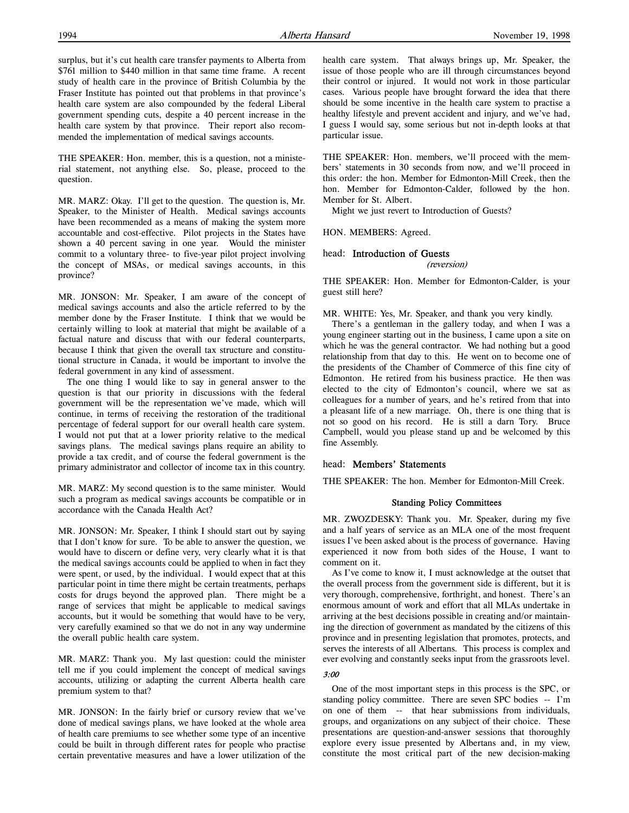surplus, but it's cut health care transfer payments to Alberta from \$761 million to \$440 million in that same time frame. A recent study of health care in the province of British Columbia by the Fraser Institute has pointed out that problems in that province's health care system are also compounded by the federal Liberal government spending cuts, despite a 40 percent increase in the health care system by that province. Their report also recommended the implementation of medical savings accounts.

THE SPEAKER: Hon. member, this is a question, not a ministerial statement, not anything else. So, please, proceed to the question.

MR. MARZ: Okay. I'll get to the question. The question is, Mr. Speaker, to the Minister of Health. Medical savings accounts have been recommended as a means of making the system more accountable and cost-effective. Pilot projects in the States have shown a 40 percent saving in one year. Would the minister commit to a voluntary three- to five-year pilot project involving the concept of MSAs, or medical savings accounts, in this province?

MR. JONSON: Mr. Speaker, I am aware of the concept of medical savings accounts and also the article referred to by the member done by the Fraser Institute. I think that we would be certainly willing to look at material that might be available of a factual nature and discuss that with our federal counterparts, because I think that given the overall tax structure and constitutional structure in Canada, it would be important to involve the federal government in any kind of assessment.

The one thing I would like to say in general answer to the question is that our priority in discussions with the federal government will be the representation we've made, which will continue, in terms of receiving the restoration of the traditional percentage of federal support for our overall health care system. I would not put that at a lower priority relative to the medical savings plans. The medical savings plans require an ability to provide a tax credit, and of course the federal government is the primary administrator and collector of income tax in this country.

MR. MARZ: My second question is to the same minister. Would such a program as medical savings accounts be compatible or in accordance with the Canada Health Act?

MR. JONSON: Mr. Speaker, I think I should start out by saying that I don't know for sure. To be able to answer the question, we would have to discern or define very, very clearly what it is that the medical savings accounts could be applied to when in fact they were spent, or used, by the individual. I would expect that at this particular point in time there might be certain treatments, perhaps costs for drugs beyond the approved plan. There might be a range of services that might be applicable to medical savings accounts, but it would be something that would have to be very, very carefully examined so that we do not in any way undermine the overall public health care system.

MR. MARZ: Thank you. My last question: could the minister tell me if you could implement the concept of medical savings accounts, utilizing or adapting the current Alberta health care premium system to that?

MR. JONSON: In the fairly brief or cursory review that we've done of medical savings plans, we have looked at the whole area of health care premiums to see whether some type of an incentive could be built in through different rates for people who practise certain preventative measures and have a lower utilization of the

health care system. That always brings up, Mr. Speaker, the issue of those people who are ill through circumstances beyond their control or injured. It would not work in those particular cases. Various people have brought forward the idea that there should be some incentive in the health care system to practise a healthy lifestyle and prevent accident and injury, and we've had, I guess I would say, some serious but not in-depth looks at that particular issue.

THE SPEAKER: Hon. members, we'll proceed with the members' statements in 30 seconds from now, and we'll proceed in this order: the hon. Member for Edmonton-Mill Creek, then the hon. Member for Edmonton-Calder, followed by the hon. Member for St. Albert.

Might we just revert to Introduction of Guests?

HON. MEMBERS: Agreed.

# head: Introduction of Guests

(reversion)

THE SPEAKER: Hon. Member for Edmonton-Calder, is your guest still here?

MR. WHITE: Yes, Mr. Speaker, and thank you very kindly.

There's a gentleman in the gallery today, and when I was a young engineer starting out in the business, I came upon a site on which he was the general contractor. We had nothing but a good relationship from that day to this. He went on to become one of the presidents of the Chamber of Commerce of this fine city of Edmonton. He retired from his business practice. He then was elected to the city of Edmonton's council, where we sat as colleagues for a number of years, and he's retired from that into a pleasant life of a new marriage. Oh, there is one thing that is not so good on his record. He is still a darn Tory. Bruce Campbell, would you please stand up and be welcomed by this fine Assembly.

### head: Members' Statements

THE SPEAKER: The hon. Member for Edmonton-Mill Creek.

#### Standing Policy Committees

MR. ZWOZDESKY: Thank you. Mr. Speaker, during my five and a half years of service as an MLA one of the most frequent issues I've been asked about is the process of governance. Having experienced it now from both sides of the House, I want to comment on it.

As I've come to know it, I must acknowledge at the outset that the overall process from the government side is different, but it is very thorough, comprehensive, forthright, and honest. There's an enormous amount of work and effort that all MLAs undertake in arriving at the best decisions possible in creating and/or maintaining the direction of government as mandated by the citizens of this province and in presenting legislation that promotes, protects, and serves the interests of all Albertans. This process is complex and ever evolving and constantly seeks input from the grassroots level.

#### 3:00

One of the most important steps in this process is the SPC, or standing policy committee. There are seven SPC bodies -- I'm on one of them -- that hear submissions from individuals, groups, and organizations on any subject of their choice. These presentations are question-and-answer sessions that thoroughly explore every issue presented by Albertans and, in my view, constitute the most critical part of the new decision-making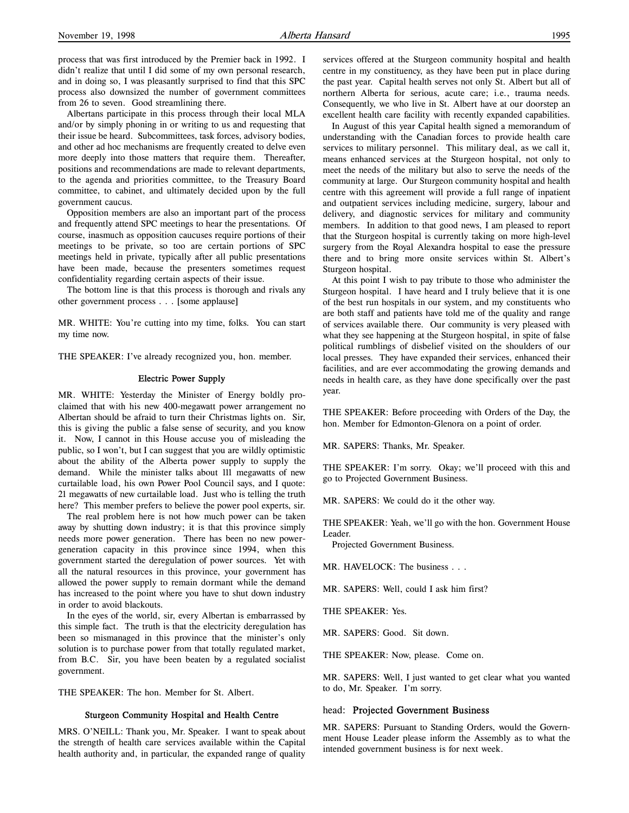process that was first introduced by the Premier back in 1992. I didn't realize that until I did some of my own personal research, and in doing so, I was pleasantly surprised to find that this SPC process also downsized the number of government committees from 26 to seven. Good streamlining there.

Albertans participate in this process through their local MLA and/or by simply phoning in or writing to us and requesting that their issue be heard. Subcommittees, task forces, advisory bodies, and other ad hoc mechanisms are frequently created to delve even more deeply into those matters that require them. Thereafter, positions and recommendations are made to relevant departments, to the agenda and priorities committee, to the Treasury Board committee, to cabinet, and ultimately decided upon by the full government caucus.

Opposition members are also an important part of the process and frequently attend SPC meetings to hear the presentations. Of course, inasmuch as opposition caucuses require portions of their meetings to be private, so too are certain portions of SPC meetings held in private, typically after all public presentations have been made, because the presenters sometimes request confidentiality regarding certain aspects of their issue.

The bottom line is that this process is thorough and rivals any other government process . . . [some applause]

MR. WHITE: You're cutting into my time, folks. You can start my time now.

THE SPEAKER: I've already recognized you, hon. member.

### Electric Power Supply

MR. WHITE: Yesterday the Minister of Energy boldly proclaimed that with his new 400-megawatt power arrangement no Albertan should be afraid to turn their Christmas lights on. Sir, this is giving the public a false sense of security, and you know it. Now, I cannot in this House accuse you of misleading the public, so I won't, but I can suggest that you are wildly optimistic about the ability of the Alberta power supply to supply the demand. While the minister talks about 111 megawatts of new curtailable load, his own Power Pool Council says, and I quote: 21 megawatts of new curtailable load. Just who is telling the truth here? This member prefers to believe the power pool experts, sir.

The real problem here is not how much power can be taken away by shutting down industry; it is that this province simply needs more power generation. There has been no new powergeneration capacity in this province since 1994, when this government started the deregulation of power sources. Yet with all the natural resources in this province, your government has allowed the power supply to remain dormant while the demand has increased to the point where you have to shut down industry in order to avoid blackouts.

In the eyes of the world, sir, every Albertan is embarrassed by this simple fact. The truth is that the electricity deregulation has been so mismanaged in this province that the minister's only solution is to purchase power from that totally regulated market, from B.C. Sir, you have been beaten by a regulated socialist government.

THE SPEAKER: The hon. Member for St. Albert.

#### Sturgeon Community Hospital and Health Centre

MRS. O'NEILL: Thank you, Mr. Speaker. I want to speak about the strength of health care services available within the Capital health authority and, in particular, the expanded range of quality

services offered at the Sturgeon community hospital and health centre in my constituency, as they have been put in place during the past year. Capital health serves not only St. Albert but all of northern Alberta for serious, acute care; i.e., trauma needs. Consequently, we who live in St. Albert have at our doorstep an excellent health care facility with recently expanded capabilities.

In August of this year Capital health signed a memorandum of understanding with the Canadian forces to provide health care services to military personnel. This military deal, as we call it, means enhanced services at the Sturgeon hospital, not only to meet the needs of the military but also to serve the needs of the community at large. Our Sturgeon community hospital and health centre with this agreement will provide a full range of inpatient and outpatient services including medicine, surgery, labour and delivery, and diagnostic services for military and community members. In addition to that good news, I am pleased to report that the Sturgeon hospital is currently taking on more high-level surgery from the Royal Alexandra hospital to ease the pressure there and to bring more onsite services within St. Albert's Sturgeon hospital.

At this point I wish to pay tribute to those who administer the Sturgeon hospital. I have heard and I truly believe that it is one of the best run hospitals in our system, and my constituents who are both staff and patients have told me of the quality and range of services available there. Our community is very pleased with what they see happening at the Sturgeon hospital, in spite of false political rumblings of disbelief visited on the shoulders of our local presses. They have expanded their services, enhanced their facilities, and are ever accommodating the growing demands and needs in health care, as they have done specifically over the past year.

THE SPEAKER: Before proceeding with Orders of the Day, the hon. Member for Edmonton-Glenora on a point of order.

MR. SAPERS: Thanks, Mr. Speaker.

THE SPEAKER: I'm sorry. Okay; we'll proceed with this and go to Projected Government Business.

MR. SAPERS: We could do it the other way.

THE SPEAKER: Yeah, we'll go with the hon. Government House Leader.

Projected Government Business.

MR. HAVELOCK: The business . . .

MR. SAPERS: Well, could I ask him first?

THE SPEAKER: Yes.

MR. SAPERS: Good. Sit down.

THE SPEAKER: Now, please. Come on.

MR. SAPERS: Well, I just wanted to get clear what you wanted to do, Mr. Speaker. I'm sorry.

## head: Projected Government Business

MR. SAPERS: Pursuant to Standing Orders, would the Government House Leader please inform the Assembly as to what the intended government business is for next week.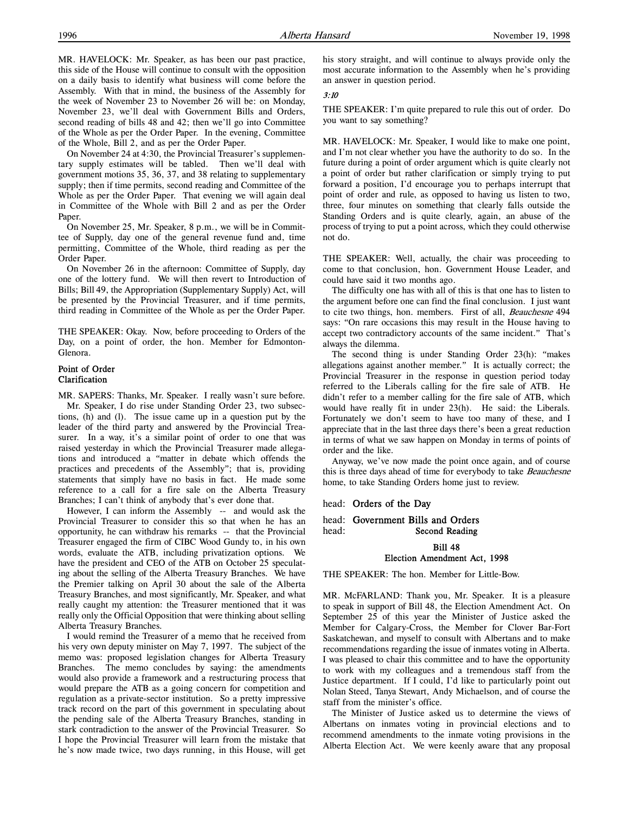MR. HAVELOCK: Mr. Speaker, as has been our past practice, this side of the House will continue to consult with the opposition on a daily basis to identify what business will come before the Assembly. With that in mind, the business of the Assembly for the week of November 23 to November 26 will be: on Monday, November 23, we'll deal with Government Bills and Orders, second reading of bills 48 and 42; then we'll go into Committee of the Whole as per the Order Paper. In the evening, Committee of the Whole, Bill 2, and as per the Order Paper.

On November 24 at 4:30, the Provincial Treasurer's supplementary supply estimates will be tabled. Then we'll deal with government motions 35, 36, 37, and 38 relating to supplementary supply; then if time permits, second reading and Committee of the Whole as per the Order Paper. That evening we will again deal in Committee of the Whole with Bill 2 and as per the Order Paper.

On November 25, Mr. Speaker, 8 p.m., we will be in Committee of Supply, day one of the general revenue fund and, time permitting, Committee of the Whole, third reading as per the Order Paper.

On November 26 in the afternoon: Committee of Supply, day one of the lottery fund. We will then revert to Introduction of Bills; Bill 49, the Appropriation (Supplementary Supply) Act, will be presented by the Provincial Treasurer, and if time permits, third reading in Committee of the Whole as per the Order Paper.

THE SPEAKER: Okay. Now, before proceeding to Orders of the Day, on a point of order, the hon. Member for Edmonton-Glenora.

#### Point of Order Clarification

MR. SAPERS: Thanks, Mr. Speaker. I really wasn't sure before. Mr. Speaker, I do rise under Standing Order 23, two subsections, (h) and (l). The issue came up in a question put by the leader of the third party and answered by the Provincial Treasurer. In a way, it's a similar point of order to one that was raised yesterday in which the Provincial Treasurer made allegations and introduced a "matter in debate which offends the practices and precedents of the Assembly"; that is, providing statements that simply have no basis in fact. He made some reference to a call for a fire sale on the Alberta Treasury Branches; I can't think of anybody that's ever done that.

However, I can inform the Assembly -- and would ask the Provincial Treasurer to consider this so that when he has an opportunity, he can withdraw his remarks -- that the Provincial Treasurer engaged the firm of CIBC Wood Gundy to, in his own words, evaluate the ATB, including privatization options. We have the president and CEO of the ATB on October 25 speculating about the selling of the Alberta Treasury Branches. We have the Premier talking on April 30 about the sale of the Alberta Treasury Branches, and most significantly, Mr. Speaker, and what really caught my attention: the Treasurer mentioned that it was really only the Official Opposition that were thinking about selling Alberta Treasury Branches.

I would remind the Treasurer of a memo that he received from his very own deputy minister on May 7, 1997. The subject of the memo was: proposed legislation changes for Alberta Treasury Branches. The memo concludes by saying: the amendments would also provide a framework and a restructuring process that would prepare the ATB as a going concern for competition and regulation as a private-sector institution. So a pretty impressive track record on the part of this government in speculating about the pending sale of the Alberta Treasury Branches, standing in stark contradiction to the answer of the Provincial Treasurer. So I hope the Provincial Treasurer will learn from the mistake that he's now made twice, two days running, in this House, will get

his story straight, and will continue to always provide only the most accurate information to the Assembly when he's providing an answer in question period.

## 3:10

THE SPEAKER: I'm quite prepared to rule this out of order. Do you want to say something?

MR. HAVELOCK: Mr. Speaker, I would like to make one point, and I'm not clear whether you have the authority to do so. In the future during a point of order argument which is quite clearly not a point of order but rather clarification or simply trying to put forward a position, I'd encourage you to perhaps interrupt that point of order and rule, as opposed to having us listen to two, three, four minutes on something that clearly falls outside the Standing Orders and is quite clearly, again, an abuse of the process of trying to put a point across, which they could otherwise not do.

THE SPEAKER: Well, actually, the chair was proceeding to come to that conclusion, hon. Government House Leader, and could have said it two months ago.

The difficulty one has with all of this is that one has to listen to the argument before one can find the final conclusion. I just want to cite two things, hon. members. First of all, Beauchesne 494 says: "On rare occasions this may result in the House having to accept two contradictory accounts of the same incident." That's always the dilemma.

The second thing is under Standing Order 23(h): "makes allegations against another member." It is actually correct; the Provincial Treasurer in the response in question period today referred to the Liberals calling for the fire sale of ATB. He didn't refer to a member calling for the fire sale of ATB, which would have really fit in under 23(h). He said: the Liberals. Fortunately we don't seem to have too many of these, and I appreciate that in the last three days there's been a great reduction in terms of what we saw happen on Monday in terms of points of order and the like.

Anyway, we've now made the point once again, and of course this is three days ahead of time for everybody to take Beauchesne home, to take Standing Orders home just to review.

### head: Orders of the Day

# head: Government Bills and Orders head: Second Reading

#### Bill 48 Election Amendment Act, 1998

THE SPEAKER: The hon. Member for Little-Bow.

MR. McFARLAND: Thank you, Mr. Speaker. It is a pleasure to speak in support of Bill 48, the Election Amendment Act. On September 25 of this year the Minister of Justice asked the Member for Calgary-Cross, the Member for Clover Bar-Fort Saskatchewan, and myself to consult with Albertans and to make recommendations regarding the issue of inmates voting in Alberta. I was pleased to chair this committee and to have the opportunity to work with my colleagues and a tremendous staff from the Justice department. If I could, I'd like to particularly point out Nolan Steed, Tanya Stewart, Andy Michaelson, and of course the staff from the minister's office.

The Minister of Justice asked us to determine the views of Albertans on inmates voting in provincial elections and to recommend amendments to the inmate voting provisions in the Alberta Election Act. We were keenly aware that any proposal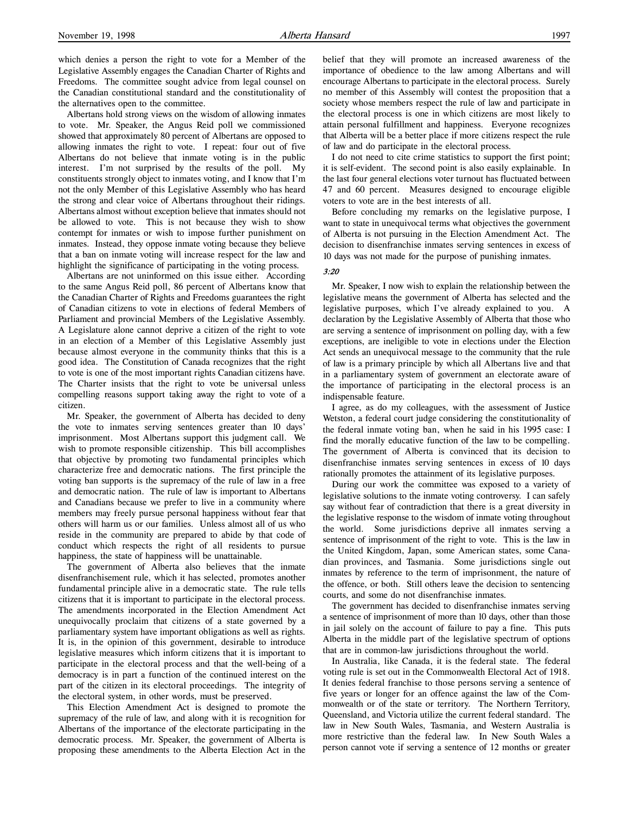Albertans hold strong views on the wisdom of allowing inmates to vote. Mr. Speaker, the Angus Reid poll we commissioned showed that approximately 80 percent of Albertans are opposed to allowing inmates the right to vote. I repeat: four out of five Albertans do not believe that inmate voting is in the public interest. I'm not surprised by the results of the poll. My constituents strongly object to inmates voting, and I know that I'm not the only Member of this Legislative Assembly who has heard the strong and clear voice of Albertans throughout their ridings. Albertans almost without exception believe that inmates should not be allowed to vote. This is not because they wish to show contempt for inmates or wish to impose further punishment on inmates. Instead, they oppose inmate voting because they believe that a ban on inmate voting will increase respect for the law and highlight the significance of participating in the voting process.

Albertans are not uninformed on this issue either. According to the same Angus Reid poll, 86 percent of Albertans know that the Canadian Charter of Rights and Freedoms guarantees the right of Canadian citizens to vote in elections of federal Members of Parliament and provincial Members of the Legislative Assembly. A Legislature alone cannot deprive a citizen of the right to vote in an election of a Member of this Legislative Assembly just because almost everyone in the community thinks that this is a good idea. The Constitution of Canada recognizes that the right to vote is one of the most important rights Canadian citizens have. The Charter insists that the right to vote be universal unless compelling reasons support taking away the right to vote of a citizen.

Mr. Speaker, the government of Alberta has decided to deny the vote to inmates serving sentences greater than 10 days' imprisonment. Most Albertans support this judgment call. We wish to promote responsible citizenship. This bill accomplishes that objective by promoting two fundamental principles which characterize free and democratic nations. The first principle the voting ban supports is the supremacy of the rule of law in a free and democratic nation. The rule of law is important to Albertans and Canadians because we prefer to live in a community where members may freely pursue personal happiness without fear that others will harm us or our families. Unless almost all of us who reside in the community are prepared to abide by that code of conduct which respects the right of all residents to pursue happiness, the state of happiness will be unattainable.

The government of Alberta also believes that the inmate disenfranchisement rule, which it has selected, promotes another fundamental principle alive in a democratic state. The rule tells citizens that it is important to participate in the electoral process. The amendments incorporated in the Election Amendment Act unequivocally proclaim that citizens of a state governed by a parliamentary system have important obligations as well as rights. It is, in the opinion of this government, desirable to introduce legislative measures which inform citizens that it is important to participate in the electoral process and that the well-being of a democracy is in part a function of the continued interest on the part of the citizen in its electoral proceedings. The integrity of the electoral system, in other words, must be preserved.

This Election Amendment Act is designed to promote the supremacy of the rule of law, and along with it is recognition for Albertans of the importance of the electorate participating in the democratic process. Mr. Speaker, the government of Alberta is proposing these amendments to the Alberta Election Act in the

belief that they will promote an increased awareness of the importance of obedience to the law among Albertans and will encourage Albertans to participate in the electoral process. Surely no member of this Assembly will contest the proposition that a society whose members respect the rule of law and participate in the electoral process is one in which citizens are most likely to attain personal fulfillment and happiness. Everyone recognizes that Alberta will be a better place if more citizens respect the rule of law and do participate in the electoral process.

I do not need to cite crime statistics to support the first point; it is self-evident. The second point is also easily explainable. In the last four general elections voter turnout has fluctuated between 47 and 60 percent. Measures designed to encourage eligible voters to vote are in the best interests of all.

Before concluding my remarks on the legislative purpose, I want to state in unequivocal terms what objectives the government of Alberta is not pursuing in the Election Amendment Act. The decision to disenfranchise inmates serving sentences in excess of 10 days was not made for the purpose of punishing inmates.

## 3:20

Mr. Speaker, I now wish to explain the relationship between the legislative means the government of Alberta has selected and the legislative purposes, which I've already explained to you. A declaration by the Legislative Assembly of Alberta that those who are serving a sentence of imprisonment on polling day, with a few exceptions, are ineligible to vote in elections under the Election Act sends an unequivocal message to the community that the rule of law is a primary principle by which all Albertans live and that in a parliamentary system of government an electorate aware of the importance of participating in the electoral process is an indispensable feature.

I agree, as do my colleagues, with the assessment of Justice Wetston, a federal court judge considering the constitutionality of the federal inmate voting ban, when he said in his 1995 case: I find the morally educative function of the law to be compelling. The government of Alberta is convinced that its decision to disenfranchise inmates serving sentences in excess of 10 days rationally promotes the attainment of its legislative purposes.

During our work the committee was exposed to a variety of legislative solutions to the inmate voting controversy. I can safely say without fear of contradiction that there is a great diversity in the legislative response to the wisdom of inmate voting throughout the world. Some jurisdictions deprive all inmates serving a sentence of imprisonment of the right to vote. This is the law in the United Kingdom, Japan, some American states, some Canadian provinces, and Tasmania. Some jurisdictions single out inmates by reference to the term of imprisonment, the nature of the offence, or both. Still others leave the decision to sentencing courts, and some do not disenfranchise inmates.

The government has decided to disenfranchise inmates serving a sentence of imprisonment of more than 10 days, other than those in jail solely on the account of failure to pay a fine. This puts Alberta in the middle part of the legislative spectrum of options that are in common-law jurisdictions throughout the world.

In Australia, like Canada, it is the federal state. The federal voting rule is set out in the Commonwealth Electoral Act of 1918. It denies federal franchise to those persons serving a sentence of five years or longer for an offence against the law of the Commonwealth or of the state or territory. The Northern Territory, Queensland, and Victoria utilize the current federal standard. The law in New South Wales, Tasmania, and Western Australia is more restrictive than the federal law. In New South Wales a person cannot vote if serving a sentence of 12 months or greater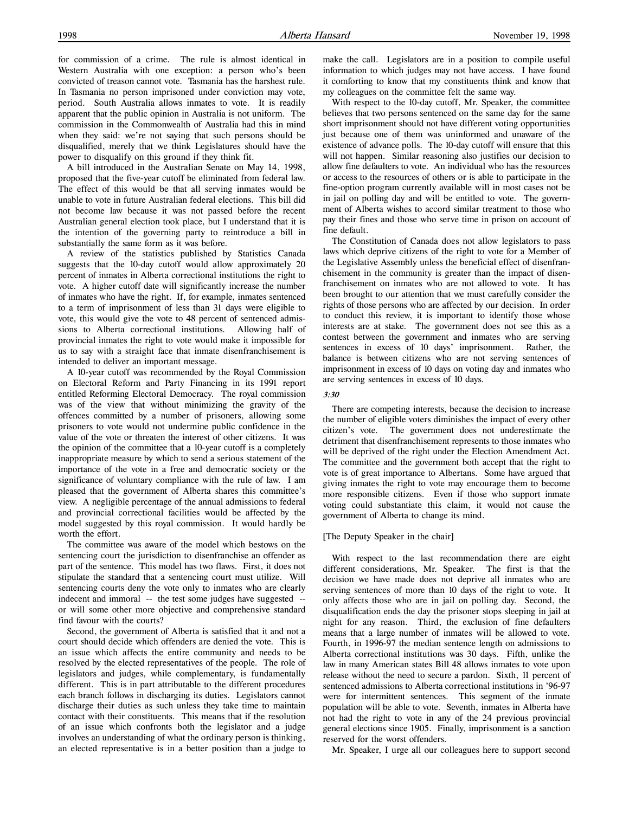for commission of a crime. The rule is almost identical in Western Australia with one exception: a person who's been convicted of treason cannot vote. Tasmania has the harshest rule. In Tasmania no person imprisoned under conviction may vote, period. South Australia allows inmates to vote. It is readily apparent that the public opinion in Australia is not uniform. The commission in the Commonwealth of Australia had this in mind when they said: we're not saying that such persons should be disqualified, merely that we think Legislatures should have the power to disqualify on this ground if they think fit.

A bill introduced in the Australian Senate on May 14, 1998, proposed that the five-year cutoff be eliminated from federal law. The effect of this would be that all serving inmates would be unable to vote in future Australian federal elections. This bill did not become law because it was not passed before the recent Australian general election took place, but I understand that it is the intention of the governing party to reintroduce a bill in substantially the same form as it was before.

A review of the statistics published by Statistics Canada suggests that the 10-day cutoff would allow approximately 20 percent of inmates in Alberta correctional institutions the right to vote. A higher cutoff date will significantly increase the number of inmates who have the right. If, for example, inmates sentenced to a term of imprisonment of less than 31 days were eligible to vote, this would give the vote to 48 percent of sentenced admissions to Alberta correctional institutions. Allowing half of provincial inmates the right to vote would make it impossible for us to say with a straight face that inmate disenfranchisement is intended to deliver an important message.

A 10-year cutoff was recommended by the Royal Commission on Electoral Reform and Party Financing in its 1991 report entitled Reforming Electoral Democracy. The royal commission was of the view that without minimizing the gravity of the offences committed by a number of prisoners, allowing some prisoners to vote would not undermine public confidence in the value of the vote or threaten the interest of other citizens. It was the opinion of the committee that a 10-year cutoff is a completely inappropriate measure by which to send a serious statement of the importance of the vote in a free and democratic society or the significance of voluntary compliance with the rule of law. I am pleased that the government of Alberta shares this committee's view. A negligible percentage of the annual admissions to federal and provincial correctional facilities would be affected by the model suggested by this royal commission. It would hardly be worth the effort.

The committee was aware of the model which bestows on the sentencing court the jurisdiction to disenfranchise an offender as part of the sentence. This model has two flaws. First, it does not stipulate the standard that a sentencing court must utilize. Will sentencing courts deny the vote only to inmates who are clearly indecent and immoral -- the test some judges have suggested -or will some other more objective and comprehensive standard find favour with the courts?

Second, the government of Alberta is satisfied that it and not a court should decide which offenders are denied the vote. This is an issue which affects the entire community and needs to be resolved by the elected representatives of the people. The role of legislators and judges, while complementary, is fundamentally different. This is in part attributable to the different procedures each branch follows in discharging its duties. Legislators cannot discharge their duties as such unless they take time to maintain contact with their constituents. This means that if the resolution of an issue which confronts both the legislator and a judge involves an understanding of what the ordinary person is thinking, an elected representative is in a better position than a judge to

make the call. Legislators are in a position to compile useful information to which judges may not have access. I have found it comforting to know that my constituents think and know that my colleagues on the committee felt the same way.

With respect to the 10-day cutoff, Mr. Speaker, the committee believes that two persons sentenced on the same day for the same short imprisonment should not have different voting opportunities just because one of them was uninformed and unaware of the existence of advance polls. The 10-day cutoff will ensure that this will not happen. Similar reasoning also justifies our decision to allow fine defaulters to vote. An individual who has the resources or access to the resources of others or is able to participate in the fine-option program currently available will in most cases not be in jail on polling day and will be entitled to vote. The government of Alberta wishes to accord similar treatment to those who pay their fines and those who serve time in prison on account of fine default.

The Constitution of Canada does not allow legislators to pass laws which deprive citizens of the right to vote for a Member of the Legislative Assembly unless the beneficial effect of disenfranchisement in the community is greater than the impact of disenfranchisement on inmates who are not allowed to vote. It has been brought to our attention that we must carefully consider the rights of those persons who are affected by our decision. In order to conduct this review, it is important to identify those whose interests are at stake. The government does not see this as a contest between the government and inmates who are serving sentences in excess of 10 days' imprisonment. Rather, the balance is between citizens who are not serving sentences of imprisonment in excess of 10 days on voting day and inmates who are serving sentences in excess of 10 days.

### 3:30

There are competing interests, because the decision to increase the number of eligible voters diminishes the impact of every other citizen's vote. The government does not underestimate the detriment that disenfranchisement represents to those inmates who will be deprived of the right under the Election Amendment Act. The committee and the government both accept that the right to vote is of great importance to Albertans. Some have argued that giving inmates the right to vote may encourage them to become more responsible citizens. Even if those who support inmate voting could substantiate this claim, it would not cause the government of Alberta to change its mind.

#### [The Deputy Speaker in the chair]

With respect to the last recommendation there are eight different considerations, Mr. Speaker. The first is that the decision we have made does not deprive all inmates who are serving sentences of more than 10 days of the right to vote. It only affects those who are in jail on polling day. Second, the disqualification ends the day the prisoner stops sleeping in jail at night for any reason. Third, the exclusion of fine defaulters means that a large number of inmates will be allowed to vote. Fourth, in 1996-97 the median sentence length on admissions to Alberta correctional institutions was 30 days. Fifth, unlike the law in many American states Bill 48 allows inmates to vote upon release without the need to secure a pardon. Sixth, 11 percent of sentenced admissions to Alberta correctional institutions in '96-97 were for intermittent sentences. This segment of the inmate population will be able to vote. Seventh, inmates in Alberta have not had the right to vote in any of the 24 previous provincial general elections since 1905. Finally, imprisonment is a sanction reserved for the worst offenders.

Mr. Speaker, I urge all our colleagues here to support second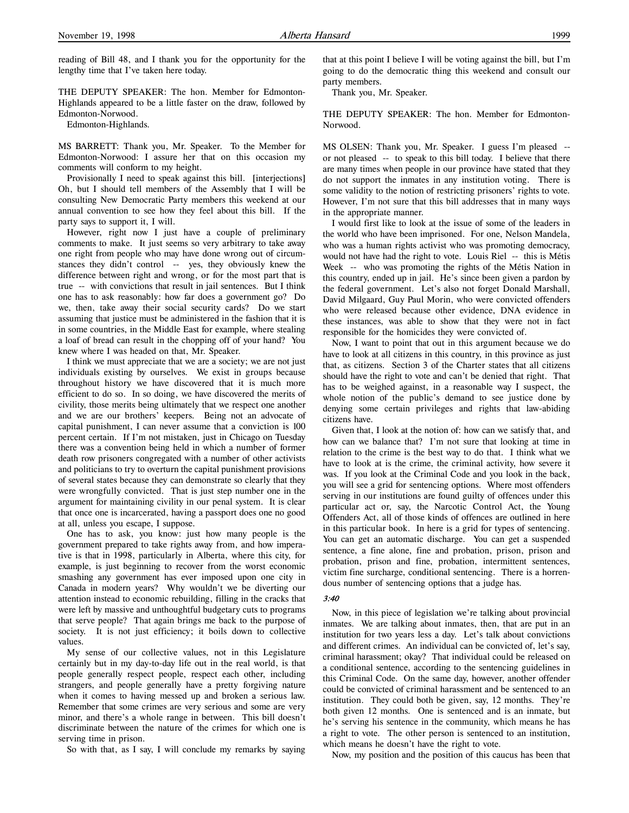reading of Bill 48, and I thank you for the opportunity for the lengthy time that I've taken here today.

THE DEPUTY SPEAKER: The hon. Member for Edmonton-Highlands appeared to be a little faster on the draw, followed by Edmonton-Norwood.

Edmonton-Highlands.

MS BARRETT: Thank you, Mr. Speaker. To the Member for Edmonton-Norwood: I assure her that on this occasion my comments will conform to my height.

Provisionally I need to speak against this bill. [interjections] Oh, but I should tell members of the Assembly that I will be consulting New Democratic Party members this weekend at our annual convention to see how they feel about this bill. If the party says to support it, I will.

However, right now I just have a couple of preliminary comments to make. It just seems so very arbitrary to take away one right from people who may have done wrong out of circumstances they didn't control -- yes, they obviously knew the difference between right and wrong, or for the most part that is true -- with convictions that result in jail sentences. But I think one has to ask reasonably: how far does a government go? Do we, then, take away their social security cards? Do we start assuming that justice must be administered in the fashion that it is in some countries, in the Middle East for example, where stealing a loaf of bread can result in the chopping off of your hand? You knew where I was headed on that, Mr. Speaker.

I think we must appreciate that we are a society; we are not just individuals existing by ourselves. We exist in groups because throughout history we have discovered that it is much more efficient to do so. In so doing, we have discovered the merits of civility, those merits being ultimately that we respect one another and we are our brothers' keepers. Being not an advocate of capital punishment, I can never assume that a conviction is 100 percent certain. If I'm not mistaken, just in Chicago on Tuesday there was a convention being held in which a number of former death row prisoners congregated with a number of other activists and politicians to try to overturn the capital punishment provisions of several states because they can demonstrate so clearly that they were wrongfully convicted. That is just step number one in the argument for maintaining civility in our penal system. It is clear that once one is incarcerated, having a passport does one no good at all, unless you escape, I suppose.

One has to ask, you know: just how many people is the government prepared to take rights away from, and how imperative is that in 1998, particularly in Alberta, where this city, for example, is just beginning to recover from the worst economic smashing any government has ever imposed upon one city in Canada in modern years? Why wouldn't we be diverting our attention instead to economic rebuilding, filling in the cracks that were left by massive and unthoughtful budgetary cuts to programs that serve people? That again brings me back to the purpose of society. It is not just efficiency; it boils down to collective values.

My sense of our collective values, not in this Legislature certainly but in my day-to-day life out in the real world, is that people generally respect people, respect each other, including strangers, and people generally have a pretty forgiving nature when it comes to having messed up and broken a serious law. Remember that some crimes are very serious and some are very minor, and there's a whole range in between. This bill doesn't discriminate between the nature of the crimes for which one is serving time in prison.

So with that, as I say, I will conclude my remarks by saying

that at this point I believe I will be voting against the bill, but I'm going to do the democratic thing this weekend and consult our party members.

Thank you, Mr. Speaker.

THE DEPUTY SPEAKER: The hon. Member for Edmonton-Norwood.

MS OLSEN: Thank you, Mr. Speaker. I guess I'm pleased - or not pleased -- to speak to this bill today. I believe that there are many times when people in our province have stated that they do not support the inmates in any institution voting. There is some validity to the notion of restricting prisoners' rights to vote. However, I'm not sure that this bill addresses that in many ways in the appropriate manner.

I would first like to look at the issue of some of the leaders in the world who have been imprisoned. For one, Nelson Mandela, who was a human rights activist who was promoting democracy, would not have had the right to vote. Louis Riel -- this is Métis Week -- who was promoting the rights of the Métis Nation in this country, ended up in jail. He's since been given a pardon by the federal government. Let's also not forget Donald Marshall, David Milgaard, Guy Paul Morin, who were convicted offenders who were released because other evidence, DNA evidence in these instances, was able to show that they were not in fact responsible for the homicides they were convicted of.

Now, I want to point that out in this argument because we do have to look at all citizens in this country, in this province as just that, as citizens. Section 3 of the Charter states that all citizens should have the right to vote and can't be denied that right. That has to be weighed against, in a reasonable way I suspect, the whole notion of the public's demand to see justice done by denying some certain privileges and rights that law-abiding citizens have.

Given that, I look at the notion of: how can we satisfy that, and how can we balance that? I'm not sure that looking at time in relation to the crime is the best way to do that. I think what we have to look at is the crime, the criminal activity, how severe it was. If you look at the Criminal Code and you look in the back, you will see a grid for sentencing options. Where most offenders serving in our institutions are found guilty of offences under this particular act or, say, the Narcotic Control Act, the Young Offenders Act, all of those kinds of offences are outlined in here in this particular book. In here is a grid for types of sentencing. You can get an automatic discharge. You can get a suspended sentence, a fine alone, fine and probation, prison, prison and probation, prison and fine, probation, intermittent sentences, victim fine surcharge, conditional sentencing. There is a horrendous number of sentencing options that a judge has.

#### 3:40

Now, in this piece of legislation we're talking about provincial inmates. We are talking about inmates, then, that are put in an institution for two years less a day. Let's talk about convictions and different crimes. An individual can be convicted of, let's say, criminal harassment; okay? That individual could be released on a conditional sentence, according to the sentencing guidelines in this Criminal Code. On the same day, however, another offender could be convicted of criminal harassment and be sentenced to an institution. They could both be given, say, 12 months. They're both given 12 months. One is sentenced and is an inmate, but he's serving his sentence in the community, which means he has a right to vote. The other person is sentenced to an institution, which means he doesn't have the right to vote.

Now, my position and the position of this caucus has been that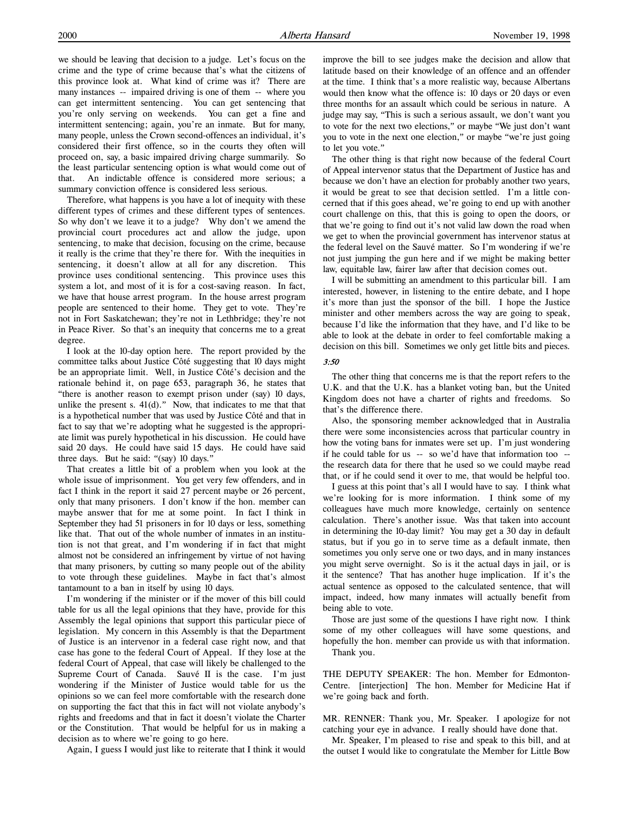we should be leaving that decision to a judge. Let's focus on the crime and the type of crime because that's what the citizens of this province look at. What kind of crime was it? There are many instances -- impaired driving is one of them -- where you can get intermittent sentencing. You can get sentencing that you're only serving on weekends. You can get a fine and intermittent sentencing; again, you're an inmate. But for many, many people, unless the Crown second-offences an individual, it's considered their first offence, so in the courts they often will proceed on, say, a basic impaired driving charge summarily. So the least particular sentencing option is what would come out of that. An indictable offence is considered more serious; a summary conviction offence is considered less serious.

Therefore, what happens is you have a lot of inequity with these different types of crimes and these different types of sentences. So why don't we leave it to a judge? Why don't we amend the provincial court procedures act and allow the judge, upon sentencing, to make that decision, focusing on the crime, because it really is the crime that they're there for. With the inequities in sentencing, it doesn't allow at all for any discretion. This province uses conditional sentencing. This province uses this system a lot, and most of it is for a cost-saving reason. In fact, we have that house arrest program. In the house arrest program people are sentenced to their home. They get to vote. They're not in Fort Saskatchewan; they're not in Lethbridge; they're not in Peace River. So that's an inequity that concerns me to a great degree.

I look at the 10-day option here. The report provided by the committee talks about Justice Côté suggesting that 10 days might be an appropriate limit. Well, in Justice Côté's decision and the rationale behind it, on page 653, paragraph 36, he states that "there is another reason to exempt prison under (say) 10 days, unlike the present s. 41(d)." Now, that indicates to me that that is a hypothetical number that was used by Justice Côté and that in fact to say that we're adopting what he suggested is the appropriate limit was purely hypothetical in his discussion. He could have said 20 days. He could have said 15 days. He could have said three days. But he said: "(say) 10 days."

That creates a little bit of a problem when you look at the whole issue of imprisonment. You get very few offenders, and in fact I think in the report it said 27 percent maybe or 26 percent, only that many prisoners. I don't know if the hon. member can maybe answer that for me at some point. In fact I think in September they had 51 prisoners in for 10 days or less, something like that. That out of the whole number of inmates in an institution is not that great, and I'm wondering if in fact that might almost not be considered an infringement by virtue of not having that many prisoners, by cutting so many people out of the ability to vote through these guidelines. Maybe in fact that's almost tantamount to a ban in itself by using 10 days.

I'm wondering if the minister or if the mover of this bill could table for us all the legal opinions that they have, provide for this Assembly the legal opinions that support this particular piece of legislation. My concern in this Assembly is that the Department of Justice is an intervenor in a federal case right now, and that case has gone to the federal Court of Appeal. If they lose at the federal Court of Appeal, that case will likely be challenged to the Supreme Court of Canada. Sauvé II is the case. I'm just wondering if the Minister of Justice would table for us the opinions so we can feel more comfortable with the research done on supporting the fact that this in fact will not violate anybody's rights and freedoms and that in fact it doesn't violate the Charter or the Constitution. That would be helpful for us in making a decision as to where we're going to go here.

Again, I guess I would just like to reiterate that I think it would

improve the bill to see judges make the decision and allow that latitude based on their knowledge of an offence and an offender at the time. I think that's a more realistic way, because Albertans would then know what the offence is: 10 days or 20 days or even three months for an assault which could be serious in nature. A judge may say, "This is such a serious assault, we don't want you to vote for the next two elections," or maybe "We just don't want you to vote in the next one election," or maybe "we're just going to let you vote."

The other thing is that right now because of the federal Court of Appeal intervenor status that the Department of Justice has and because we don't have an election for probably another two years, it would be great to see that decision settled. I'm a little concerned that if this goes ahead, we're going to end up with another court challenge on this, that this is going to open the doors, or that we're going to find out it's not valid law down the road when we get to when the provincial government has intervenor status at the federal level on the Sauvé matter. So I'm wondering if we're not just jumping the gun here and if we might be making better law, equitable law, fairer law after that decision comes out.

I will be submitting an amendment to this particular bill. I am interested, however, in listening to the entire debate, and I hope it's more than just the sponsor of the bill. I hope the Justice minister and other members across the way are going to speak, because I'd like the information that they have, and I'd like to be able to look at the debate in order to feel comfortable making a decision on this bill. Sometimes we only get little bits and pieces.

#### 3:50

The other thing that concerns me is that the report refers to the U.K. and that the U.K. has a blanket voting ban, but the United Kingdom does not have a charter of rights and freedoms. So that's the difference there.

Also, the sponsoring member acknowledged that in Australia there were some inconsistencies across that particular country in how the voting bans for inmates were set up. I'm just wondering if he could table for us -- so we'd have that information too - the research data for there that he used so we could maybe read that, or if he could send it over to me, that would be helpful too.

I guess at this point that's all I would have to say. I think what we're looking for is more information. I think some of my colleagues have much more knowledge, certainly on sentence calculation. There's another issue. Was that taken into account in determining the 10-day limit? You may get a 30 day in default status, but if you go in to serve time as a default inmate, then sometimes you only serve one or two days, and in many instances you might serve overnight. So is it the actual days in jail, or is it the sentence? That has another huge implication. If it's the actual sentence as opposed to the calculated sentence, that will impact, indeed, how many inmates will actually benefit from being able to vote.

Those are just some of the questions I have right now. I think some of my other colleagues will have some questions, and hopefully the hon. member can provide us with that information. Thank you.

THE DEPUTY SPEAKER: The hon. Member for Edmonton-Centre. [interjection] The hon. Member for Medicine Hat if we're going back and forth.

MR. RENNER: Thank you, Mr. Speaker. I apologize for not catching your eye in advance. I really should have done that.

Mr. Speaker, I'm pleased to rise and speak to this bill, and at the outset I would like to congratulate the Member for Little Bow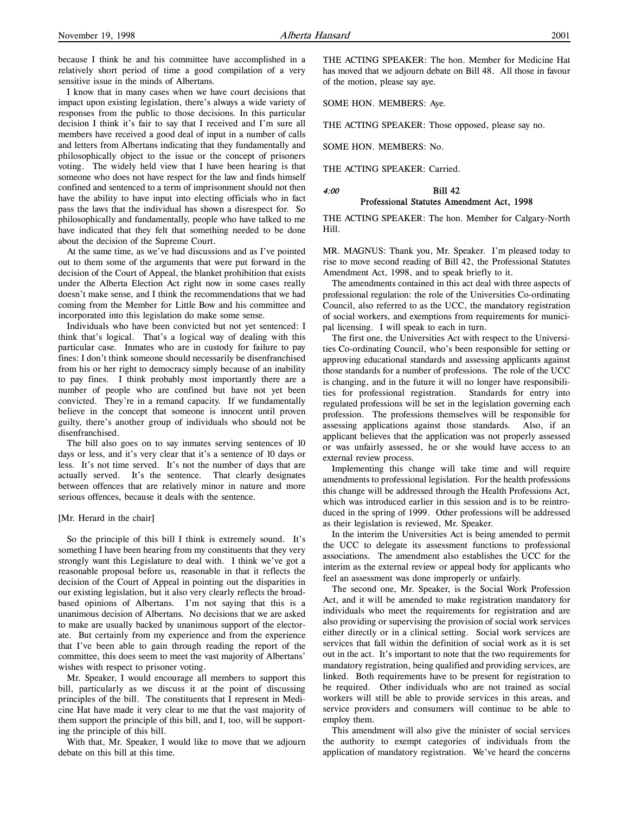because I think he and his committee have accomplished in a relatively short period of time a good compilation of a very sensitive issue in the minds of Albertans.

I know that in many cases when we have court decisions that impact upon existing legislation, there's always a wide variety of responses from the public to those decisions. In this particular decision I think it's fair to say that I received and I'm sure all members have received a good deal of input in a number of calls and letters from Albertans indicating that they fundamentally and philosophically object to the issue or the concept of prisoners voting. The widely held view that I have been hearing is that someone who does not have respect for the law and finds himself confined and sentenced to a term of imprisonment should not then have the ability to have input into electing officials who in fact pass the laws that the individual has shown a disrespect for. So philosophically and fundamentally, people who have talked to me have indicated that they felt that something needed to be done about the decision of the Supreme Court.

At the same time, as we've had discussions and as I've pointed out to them some of the arguments that were put forward in the decision of the Court of Appeal, the blanket prohibition that exists under the Alberta Election Act right now in some cases really doesn't make sense, and I think the recommendations that we had coming from the Member for Little Bow and his committee and incorporated into this legislation do make some sense.

Individuals who have been convicted but not yet sentenced: I think that's logical. That's a logical way of dealing with this particular case. Inmates who are in custody for failure to pay fines: I don't think someone should necessarily be disenfranchised from his or her right to democracy simply because of an inability to pay fines. I think probably most importantly there are a number of people who are confined but have not yet been convicted. They're in a remand capacity. If we fundamentally believe in the concept that someone is innocent until proven guilty, there's another group of individuals who should not be disenfranchised.

The bill also goes on to say inmates serving sentences of 10 days or less, and it's very clear that it's a sentence of 10 days or less. It's not time served. It's not the number of days that are actually served. It's the sentence. That clearly designates between offences that are relatively minor in nature and more serious offences, because it deals with the sentence.

[Mr. Herard in the chair]

So the principle of this bill I think is extremely sound. It's something I have been hearing from my constituents that they very strongly want this Legislature to deal with. I think we've got a reasonable proposal before us, reasonable in that it reflects the decision of the Court of Appeal in pointing out the disparities in our existing legislation, but it also very clearly reflects the broadbased opinions of Albertans. I'm not saying that this is a unanimous decision of Albertans. No decisions that we are asked to make are usually backed by unanimous support of the electorate. But certainly from my experience and from the experience that I've been able to gain through reading the report of the committee, this does seem to meet the vast majority of Albertans' wishes with respect to prisoner voting.

Mr. Speaker, I would encourage all members to support this bill, particularly as we discuss it at the point of discussing principles of the bill. The constituents that I represent in Medicine Hat have made it very clear to me that the vast majority of them support the principle of this bill, and I, too, will be supporting the principle of this bill.

With that, Mr. Speaker, I would like to move that we adjourn debate on this bill at this time.

THE ACTING SPEAKER: The hon. Member for Medicine Hat has moved that we adjourn debate on Bill 48. All those in favour of the motion, please say aye.

SOME HON. MEMBERS: Aye.

THE ACTING SPEAKER: Those opposed, please say no.

SOME HON. MEMBERS: No.

THE ACTING SPEAKER: Carried.

### 4:00 Bill 42 Professional Statutes Amendment Act, 1998

THE ACTING SPEAKER: The hon. Member for Calgary-North Hill.

MR. MAGNUS: Thank you, Mr. Speaker. I'm pleased today to rise to move second reading of Bill 42, the Professional Statutes Amendment Act, 1998, and to speak briefly to it.

The amendments contained in this act deal with three aspects of professional regulation: the role of the Universities Co-ordinating Council, also referred to as the UCC, the mandatory registration of social workers, and exemptions from requirements for municipal licensing. I will speak to each in turn.

The first one, the Universities Act with respect to the Universities Co-ordinating Council, who's been responsible for setting or approving educational standards and assessing applicants against those standards for a number of professions. The role of the UCC is changing, and in the future it will no longer have responsibilities for professional registration. Standards for entry into regulated professions will be set in the legislation governing each profession. The professions themselves will be responsible for assessing applications against those standards. Also, if an applicant believes that the application was not properly assessed or was unfairly assessed, he or she would have access to an external review process.

Implementing this change will take time and will require amendments to professional legislation. For the health professions this change will be addressed through the Health Professions Act, which was introduced earlier in this session and is to be reintroduced in the spring of 1999. Other professions will be addressed as their legislation is reviewed, Mr. Speaker.

In the interim the Universities Act is being amended to permit the UCC to delegate its assessment functions to professional associations. The amendment also establishes the UCC for the interim as the external review or appeal body for applicants who feel an assessment was done improperly or unfairly.

The second one, Mr. Speaker, is the Social Work Profession Act, and it will be amended to make registration mandatory for individuals who meet the requirements for registration and are also providing or supervising the provision of social work services either directly or in a clinical setting. Social work services are services that fall within the definition of social work as it is set out in the act. It's important to note that the two requirements for mandatory registration, being qualified and providing services, are linked. Both requirements have to be present for registration to be required. Other individuals who are not trained as social workers will still be able to provide services in this areas, and service providers and consumers will continue to be able to employ them.

This amendment will also give the minister of social services the authority to exempt categories of individuals from the application of mandatory registration. We've heard the concerns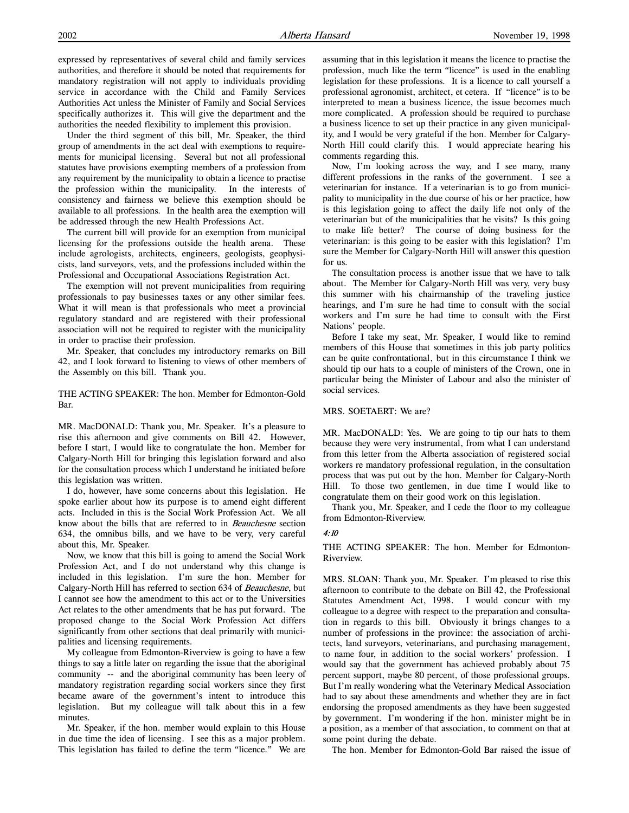expressed by representatives of several child and family services authorities, and therefore it should be noted that requirements for mandatory registration will not apply to individuals providing service in accordance with the Child and Family Services Authorities Act unless the Minister of Family and Social Services specifically authorizes it. This will give the department and the authorities the needed flexibility to implement this provision.

Under the third segment of this bill, Mr. Speaker, the third group of amendments in the act deal with exemptions to requirements for municipal licensing. Several but not all professional statutes have provisions exempting members of a profession from any requirement by the municipality to obtain a licence to practise the profession within the municipality. In the interests of consistency and fairness we believe this exemption should be available to all professions. In the health area the exemption will be addressed through the new Health Professions Act.

The current bill will provide for an exemption from municipal licensing for the professions outside the health arena. These include agrologists, architects, engineers, geologists, geophysicists, land surveyors, vets, and the professions included within the Professional and Occupational Associations Registration Act.

The exemption will not prevent municipalities from requiring professionals to pay businesses taxes or any other similar fees. What it will mean is that professionals who meet a provincial regulatory standard and are registered with their professional association will not be required to register with the municipality in order to practise their profession.

Mr. Speaker, that concludes my introductory remarks on Bill 42, and I look forward to listening to views of other members of the Assembly on this bill. Thank you.

THE ACTING SPEAKER: The hon. Member for Edmonton-Gold Bar.

MR. MacDONALD: Thank you, Mr. Speaker. It's a pleasure to rise this afternoon and give comments on Bill 42. However, before I start, I would like to congratulate the hon. Member for Calgary-North Hill for bringing this legislation forward and also for the consultation process which I understand he initiated before this legislation was written.

I do, however, have some concerns about this legislation. He spoke earlier about how its purpose is to amend eight different acts. Included in this is the Social Work Profession Act. We all know about the bills that are referred to in Beauchesne section 634, the omnibus bills, and we have to be very, very careful about this, Mr. Speaker.

Now, we know that this bill is going to amend the Social Work Profession Act, and I do not understand why this change is included in this legislation. I'm sure the hon. Member for Calgary-North Hill has referred to section 634 of Beauchesne, but I cannot see how the amendment to this act or to the Universities Act relates to the other amendments that he has put forward. The proposed change to the Social Work Profession Act differs significantly from other sections that deal primarily with municipalities and licensing requirements.

My colleague from Edmonton-Riverview is going to have a few things to say a little later on regarding the issue that the aboriginal community -- and the aboriginal community has been leery of mandatory registration regarding social workers since they first became aware of the government's intent to introduce this legislation. But my colleague will talk about this in a few minutes.

Mr. Speaker, if the hon. member would explain to this House in due time the idea of licensing. I see this as a major problem. This legislation has failed to define the term "licence." We are

assuming that in this legislation it means the licence to practise the profession, much like the term "licence" is used in the enabling legislation for these professions. It is a licence to call yourself a professional agronomist, architect, et cetera. If "licence" is to be interpreted to mean a business licence, the issue becomes much more complicated. A profession should be required to purchase a business licence to set up their practice in any given municipality, and I would be very grateful if the hon. Member for Calgary-North Hill could clarify this. I would appreciate hearing his comments regarding this.

Now, I'm looking across the way, and I see many, many different professions in the ranks of the government. I see a veterinarian for instance. If a veterinarian is to go from municipality to municipality in the due course of his or her practice, how is this legislation going to affect the daily life not only of the veterinarian but of the municipalities that he visits? Is this going to make life better? The course of doing business for the veterinarian: is this going to be easier with this legislation? I'm sure the Member for Calgary-North Hill will answer this question for us.

The consultation process is another issue that we have to talk about. The Member for Calgary-North Hill was very, very busy this summer with his chairmanship of the traveling justice hearings, and I'm sure he had time to consult with the social workers and I'm sure he had time to consult with the First Nations' people.

Before I take my seat, Mr. Speaker, I would like to remind members of this House that sometimes in this job party politics can be quite confrontational, but in this circumstance I think we should tip our hats to a couple of ministers of the Crown, one in particular being the Minister of Labour and also the minister of social services.

MRS. SOETAERT: We are?

MR. MacDONALD: Yes. We are going to tip our hats to them because they were very instrumental, from what I can understand from this letter from the Alberta association of registered social workers re mandatory professional regulation, in the consultation process that was put out by the hon. Member for Calgary-North Hill. To those two gentlemen, in due time I would like to congratulate them on their good work on this legislation.

Thank you, Mr. Speaker, and I cede the floor to my colleague from Edmonton-Riverview.

### 4:10

THE ACTING SPEAKER: The hon. Member for Edmonton-Riverview.

MRS. SLOAN: Thank you, Mr. Speaker. I'm pleased to rise this afternoon to contribute to the debate on Bill 42, the Professional Statutes Amendment Act, 1998. I would concur with my colleague to a degree with respect to the preparation and consultation in regards to this bill. Obviously it brings changes to a number of professions in the province: the association of architects, land surveyors, veterinarians, and purchasing management, to name four, in addition to the social workers' profession. I would say that the government has achieved probably about 75 percent support, maybe 80 percent, of those professional groups. But I'm really wondering what the Veterinary Medical Association had to say about these amendments and whether they are in fact endorsing the proposed amendments as they have been suggested by government. I'm wondering if the hon. minister might be in a position, as a member of that association, to comment on that at some point during the debate.

The hon. Member for Edmonton-Gold Bar raised the issue of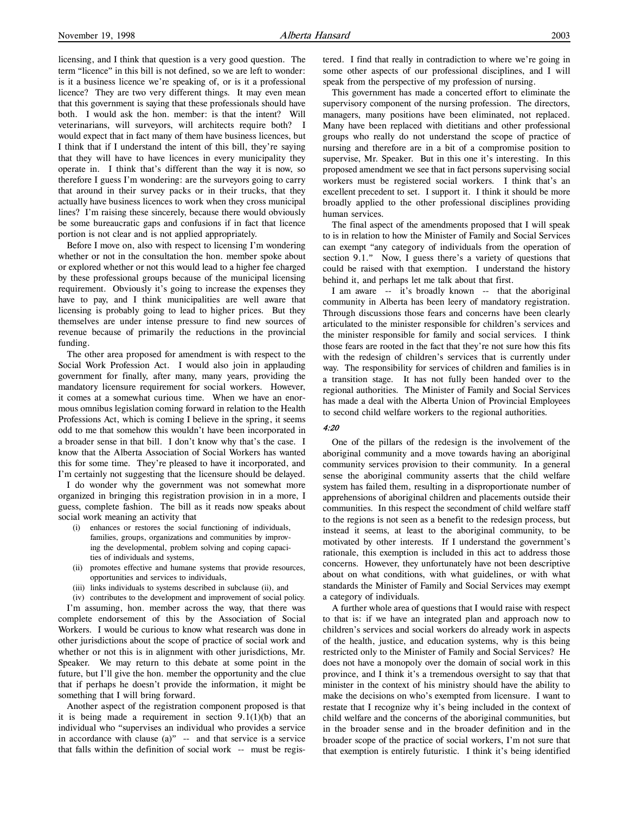licensing, and I think that question is a very good question. The term "licence" in this bill is not defined, so we are left to wonder: is it a business licence we're speaking of, or is it a professional licence? They are two very different things. It may even mean that this government is saying that these professionals should have both. I would ask the hon. member: is that the intent? Will veterinarians, will surveyors, will architects require both? I would expect that in fact many of them have business licences, but I think that if I understand the intent of this bill, they're saying that they will have to have licences in every municipality they operate in. I think that's different than the way it is now, so therefore I guess I'm wondering: are the surveyors going to carry that around in their survey packs or in their trucks, that they actually have business licences to work when they cross municipal lines? I'm raising these sincerely, because there would obviously be some bureaucratic gaps and confusions if in fact that licence portion is not clear and is not applied appropriately.

Before I move on, also with respect to licensing I'm wondering whether or not in the consultation the hon. member spoke about or explored whether or not this would lead to a higher fee charged by these professional groups because of the municipal licensing requirement. Obviously it's going to increase the expenses they have to pay, and I think municipalities are well aware that licensing is probably going to lead to higher prices. But they themselves are under intense pressure to find new sources of revenue because of primarily the reductions in the provincial funding.

The other area proposed for amendment is with respect to the Social Work Profession Act. I would also join in applauding government for finally, after many, many years, providing the mandatory licensure requirement for social workers. However, it comes at a somewhat curious time. When we have an enormous omnibus legislation coming forward in relation to the Health Professions Act, which is coming I believe in the spring, it seems odd to me that somehow this wouldn't have been incorporated in a broader sense in that bill. I don't know why that's the case. I know that the Alberta Association of Social Workers has wanted this for some time. They're pleased to have it incorporated, and I'm certainly not suggesting that the licensure should be delayed.

I do wonder why the government was not somewhat more organized in bringing this registration provision in in a more, I guess, complete fashion. The bill as it reads now speaks about social work meaning an activity that

- (i) enhances or restores the social functioning of individuals, families, groups, organizations and communities by improving the developmental, problem solving and coping capacities of individuals and systems,
- (ii) promotes effective and humane systems that provide resources, opportunities and services to individuals,
- (iii) links individuals to systems described in subclause (ii), and

(iv) contributes to the development and improvement of social policy. I'm assuming, hon. member across the way, that there was complete endorsement of this by the Association of Social Workers. I would be curious to know what research was done in other jurisdictions about the scope of practice of social work and whether or not this is in alignment with other jurisdictions, Mr. Speaker. We may return to this debate at some point in the future, but I'll give the hon. member the opportunity and the clue that if perhaps he doesn't provide the information, it might be something that I will bring forward.

Another aspect of the registration component proposed is that it is being made a requirement in section  $9.1(1)(b)$  that an individual who "supervises an individual who provides a service in accordance with clause (a)" -- and that service is a service that falls within the definition of social work -- must be registered. I find that really in contradiction to where we're going in some other aspects of our professional disciplines, and I will speak from the perspective of my profession of nursing.

This government has made a concerted effort to eliminate the supervisory component of the nursing profession. The directors, managers, many positions have been eliminated, not replaced. Many have been replaced with dietitians and other professional groups who really do not understand the scope of practice of nursing and therefore are in a bit of a compromise position to supervise, Mr. Speaker. But in this one it's interesting. In this proposed amendment we see that in fact persons supervising social workers must be registered social workers. I think that's an excellent precedent to set. I support it. I think it should be more broadly applied to the other professional disciplines providing human services.

The final aspect of the amendments proposed that I will speak to is in relation to how the Minister of Family and Social Services can exempt "any category of individuals from the operation of section 9.1." Now, I guess there's a variety of questions that could be raised with that exemption. I understand the history behind it, and perhaps let me talk about that first.

I am aware -- it's broadly known -- that the aboriginal community in Alberta has been leery of mandatory registration. Through discussions those fears and concerns have been clearly articulated to the minister responsible for children's services and the minister responsible for family and social services. I think those fears are rooted in the fact that they're not sure how this fits with the redesign of children's services that is currently under way. The responsibility for services of children and families is in a transition stage. It has not fully been handed over to the regional authorities. The Minister of Family and Social Services has made a deal with the Alberta Union of Provincial Employees to second child welfare workers to the regional authorities.

## 4:20

One of the pillars of the redesign is the involvement of the aboriginal community and a move towards having an aboriginal community services provision to their community. In a general sense the aboriginal community asserts that the child welfare system has failed them, resulting in a disproportionate number of apprehensions of aboriginal children and placements outside their communities. In this respect the secondment of child welfare staff to the regions is not seen as a benefit to the redesign process, but instead it seems, at least to the aboriginal community, to be motivated by other interests. If I understand the government's rationale, this exemption is included in this act to address those concerns. However, they unfortunately have not been descriptive about on what conditions, with what guidelines, or with what standards the Minister of Family and Social Services may exempt a category of individuals.

A further whole area of questions that I would raise with respect to that is: if we have an integrated plan and approach now to children's services and social workers do already work in aspects of the health, justice, and education systems, why is this being restricted only to the Minister of Family and Social Services? He does not have a monopoly over the domain of social work in this province, and I think it's a tremendous oversight to say that that minister in the context of his ministry should have the ability to make the decisions on who's exempted from licensure. I want to restate that I recognize why it's being included in the context of child welfare and the concerns of the aboriginal communities, but in the broader sense and in the broader definition and in the broader scope of the practice of social workers, I'm not sure that that exemption is entirely futuristic. I think it's being identified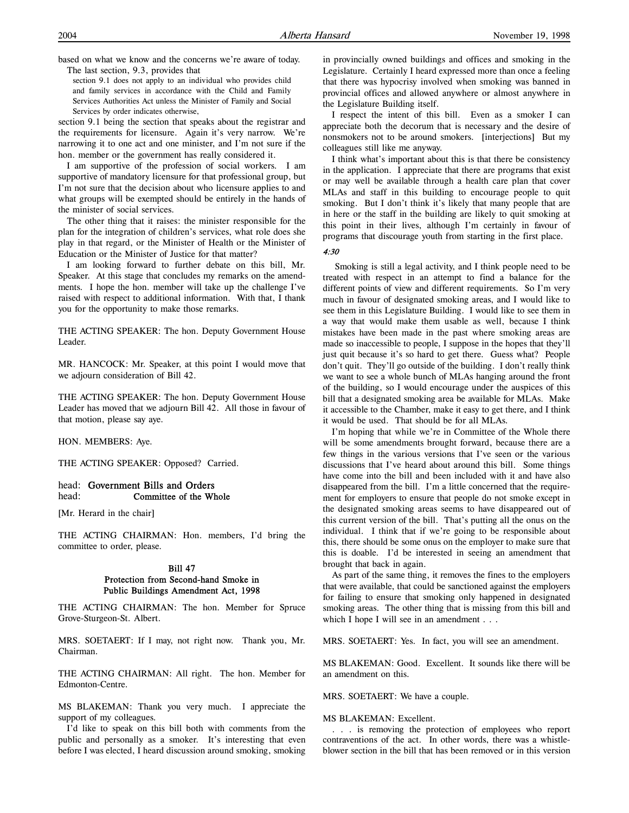based on what we know and the concerns we're aware of today. The last section, 9.3, provides that

section 9.1 does not apply to an individual who provides child and family services in accordance with the Child and Family Services Authorities Act unless the Minister of Family and Social Services by order indicates otherwise,

section 9.1 being the section that speaks about the registrar and the requirements for licensure. Again it's very narrow. We're narrowing it to one act and one minister, and I'm not sure if the hon. member or the government has really considered it.

I am supportive of the profession of social workers. I am supportive of mandatory licensure for that professional group, but I'm not sure that the decision about who licensure applies to and what groups will be exempted should be entirely in the hands of the minister of social services.

The other thing that it raises: the minister responsible for the plan for the integration of children's services, what role does she play in that regard, or the Minister of Health or the Minister of Education or the Minister of Justice for that matter?

I am looking forward to further debate on this bill, Mr. Speaker. At this stage that concludes my remarks on the amendments. I hope the hon. member will take up the challenge I've raised with respect to additional information. With that, I thank you for the opportunity to make those remarks.

THE ACTING SPEAKER: The hon. Deputy Government House Leader.

MR. HANCOCK: Mr. Speaker, at this point I would move that we adjourn consideration of Bill 42.

THE ACTING SPEAKER: The hon. Deputy Government House Leader has moved that we adjourn Bill 42. All those in favour of that motion, please say aye.

HON. MEMBERS: Aye.

THE ACTING SPEAKER: Opposed? Carried.

head: Government Bills and Orders head: **Committee of the Whole** 

[Mr. Herard in the chair]

THE ACTING CHAIRMAN: Hon. members, I'd bring the committee to order, please.

## Bill 47 Protection from Second-hand Smoke in Public Buildings Amendment Act, 1998

THE ACTING CHAIRMAN: The hon. Member for Spruce Grove-Sturgeon-St. Albert.

MRS. SOETAERT: If I may, not right now. Thank you, Mr. Chairman.

THE ACTING CHAIRMAN: All right. The hon. Member for Edmonton-Centre.

MS BLAKEMAN: Thank you very much. I appreciate the support of my colleagues.

I'd like to speak on this bill both with comments from the public and personally as a smoker. It's interesting that even before I was elected, I heard discussion around smoking, smoking

in provincially owned buildings and offices and smoking in the Legislature. Certainly I heard expressed more than once a feeling that there was hypocrisy involved when smoking was banned in provincial offices and allowed anywhere or almost anywhere in the Legislature Building itself.

I respect the intent of this bill. Even as a smoker I can appreciate both the decorum that is necessary and the desire of nonsmokers not to be around smokers. [interjections] But my colleagues still like me anyway.

I think what's important about this is that there be consistency in the application. I appreciate that there are programs that exist or may well be available through a health care plan that cover MLAs and staff in this building to encourage people to quit smoking. But I don't think it's likely that many people that are in here or the staff in the building are likely to quit smoking at this point in their lives, although I'm certainly in favour of programs that discourage youth from starting in the first place.

4:30

 Smoking is still a legal activity, and I think people need to be treated with respect in an attempt to find a balance for the different points of view and different requirements. So I'm very much in favour of designated smoking areas, and I would like to see them in this Legislature Building. I would like to see them in a way that would make them usable as well, because I think mistakes have been made in the past where smoking areas are made so inaccessible to people, I suppose in the hopes that they'll just quit because it's so hard to get there. Guess what? People don't quit. They'll go outside of the building. I don't really think we want to see a whole bunch of MLAs hanging around the front of the building, so I would encourage under the auspices of this bill that a designated smoking area be available for MLAs. Make it accessible to the Chamber, make it easy to get there, and I think it would be used. That should be for all MLAs.

I'm hoping that while we're in Committee of the Whole there will be some amendments brought forward, because there are a few things in the various versions that I've seen or the various discussions that I've heard about around this bill. Some things have come into the bill and been included with it and have also disappeared from the bill. I'm a little concerned that the requirement for employers to ensure that people do not smoke except in the designated smoking areas seems to have disappeared out of this current version of the bill. That's putting all the onus on the individual. I think that if we're going to be responsible about this, there should be some onus on the employer to make sure that this is doable. I'd be interested in seeing an amendment that brought that back in again.

As part of the same thing, it removes the fines to the employers that were available, that could be sanctioned against the employers for failing to ensure that smoking only happened in designated smoking areas. The other thing that is missing from this bill and which I hope I will see in an amendment . . .

MRS. SOETAERT: Yes. In fact, you will see an amendment.

MS BLAKEMAN: Good. Excellent. It sounds like there will be an amendment on this.

MRS. SOETAERT: We have a couple.

#### MS BLAKEMAN: Excellent.

. . . is removing the protection of employees who report contraventions of the act. In other words, there was a whistleblower section in the bill that has been removed or in this version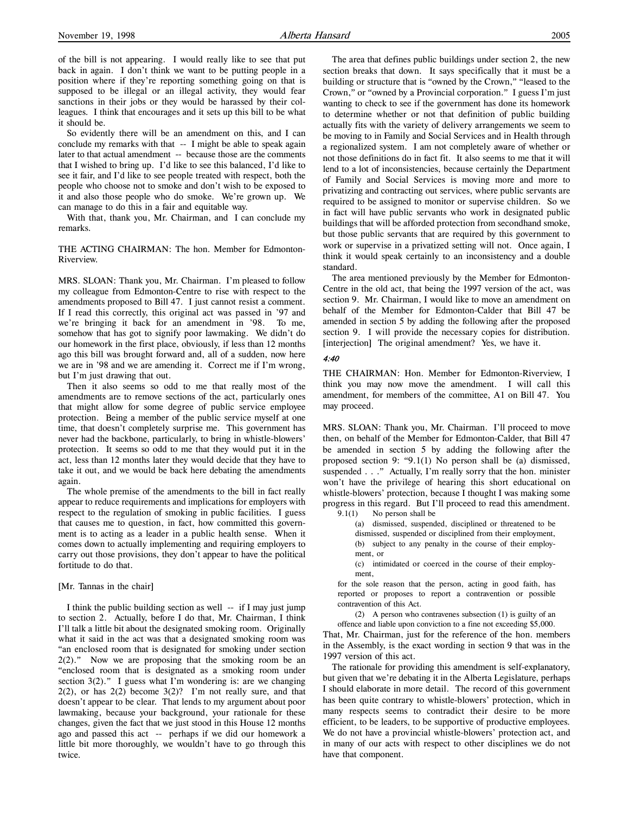of the bill is not appearing. I would really like to see that put back in again. I don't think we want to be putting people in a position where if they're reporting something going on that is supposed to be illegal or an illegal activity, they would fear sanctions in their jobs or they would be harassed by their colleagues. I think that encourages and it sets up this bill to be what it should be.

So evidently there will be an amendment on this, and I can conclude my remarks with that -- I might be able to speak again later to that actual amendment -- because those are the comments that I wished to bring up. I'd like to see this balanced, I'd like to see it fair, and I'd like to see people treated with respect, both the people who choose not to smoke and don't wish to be exposed to it and also those people who do smoke. We're grown up. We can manage to do this in a fair and equitable way.

With that, thank you, Mr. Chairman, and I can conclude my remarks.

THE ACTING CHAIRMAN: The hon. Member for Edmonton-Riverview.

MRS. SLOAN: Thank you, Mr. Chairman. I'm pleased to follow my colleague from Edmonton-Centre to rise with respect to the amendments proposed to Bill 47. I just cannot resist a comment. If I read this correctly, this original act was passed in '97 and we're bringing it back for an amendment in '98. To me, somehow that has got to signify poor lawmaking. We didn't do our homework in the first place, obviously, if less than 12 months ago this bill was brought forward and, all of a sudden, now here we are in '98 and we are amending it. Correct me if I'm wrong, but I'm just drawing that out.

Then it also seems so odd to me that really most of the amendments are to remove sections of the act, particularly ones that might allow for some degree of public service employee protection. Being a member of the public service myself at one time, that doesn't completely surprise me. This government has never had the backbone, particularly, to bring in whistle-blowers' protection. It seems so odd to me that they would put it in the act, less than 12 months later they would decide that they have to take it out, and we would be back here debating the amendments again.

The whole premise of the amendments to the bill in fact really appear to reduce requirements and implications for employers with respect to the regulation of smoking in public facilities. I guess that causes me to question, in fact, how committed this government is to acting as a leader in a public health sense. When it comes down to actually implementing and requiring employers to carry out those provisions, they don't appear to have the political fortitude to do that.

## [Mr. Tannas in the chair]

I think the public building section as well -- if I may just jump to section 2. Actually, before I do that, Mr. Chairman, I think I'll talk a little bit about the designated smoking room. Originally what it said in the act was that a designated smoking room was "an enclosed room that is designated for smoking under section 2(2)." Now we are proposing that the smoking room be an "enclosed room that is designated as a smoking room under section 3(2)." I guess what I'm wondering is: are we changing  $2(2)$ , or has  $2(2)$  become  $3(2)$ ? I'm not really sure, and that doesn't appear to be clear. That lends to my argument about poor lawmaking, because your background, your rationale for these changes, given the fact that we just stood in this House 12 months ago and passed this act -- perhaps if we did our homework a little bit more thoroughly, we wouldn't have to go through this twice.

The area that defines public buildings under section 2, the new section breaks that down. It says specifically that it must be a building or structure that is "owned by the Crown," "leased to the Crown," or "owned by a Provincial corporation." I guess I'm just wanting to check to see if the government has done its homework to determine whether or not that definition of public building actually fits with the variety of delivery arrangements we seem to be moving to in Family and Social Services and in Health through a regionalized system. I am not completely aware of whether or not those definitions do in fact fit. It also seems to me that it will lend to a lot of inconsistencies, because certainly the Department of Family and Social Services is moving more and more to privatizing and contracting out services, where public servants are required to be assigned to monitor or supervise children. So we in fact will have public servants who work in designated public buildings that will be afforded protection from secondhand smoke, but those public servants that are required by this government to work or supervise in a privatized setting will not. Once again, I think it would speak certainly to an inconsistency and a double standard.

The area mentioned previously by the Member for Edmonton-Centre in the old act, that being the 1997 version of the act, was section 9. Mr. Chairman, I would like to move an amendment on behalf of the Member for Edmonton-Calder that Bill 47 be amended in section 5 by adding the following after the proposed section 9. I will provide the necessary copies for distribution. [interjection] The original amendment? Yes, we have it.

#### 4:40

THE CHAIRMAN: Hon. Member for Edmonton-Riverview, I think you may now move the amendment. I will call this amendment, for members of the committee, A1 on Bill 47. You may proceed.

MRS. SLOAN: Thank you, Mr. Chairman. I'll proceed to move then, on behalf of the Member for Edmonton-Calder, that Bill 47 be amended in section 5 by adding the following after the proposed section 9: "9.1(1) No person shall be (a) dismissed, suspended . . ." Actually, I'm really sorry that the hon. minister won't have the privilege of hearing this short educational on whistle-blowers' protection, because I thought I was making some progress in this regard. But I'll proceed to read this amendment.

9.1(1) No person shall be

(a) dismissed, suspended, disciplined or threatened to be dismissed, suspended or disciplined from their employment, (b) subject to any penalty in the course of their employment, or

(c) intimidated or coerced in the course of their employment,

for the sole reason that the person, acting in good faith, has reported or proposes to report a contravention or possible contravention of this Act.

(2) A person who contravenes subsection (1) is guilty of an

offence and liable upon conviction to a fine not exceeding \$5,000. That, Mr. Chairman, just for the reference of the hon. members in the Assembly, is the exact wording in section 9 that was in the 1997 version of this act.

The rationale for providing this amendment is self-explanatory, but given that we're debating it in the Alberta Legislature, perhaps I should elaborate in more detail. The record of this government has been quite contrary to whistle-blowers' protection, which in many respects seems to contradict their desire to be more efficient, to be leaders, to be supportive of productive employees. We do not have a provincial whistle-blowers' protection act, and in many of our acts with respect to other disciplines we do not have that component.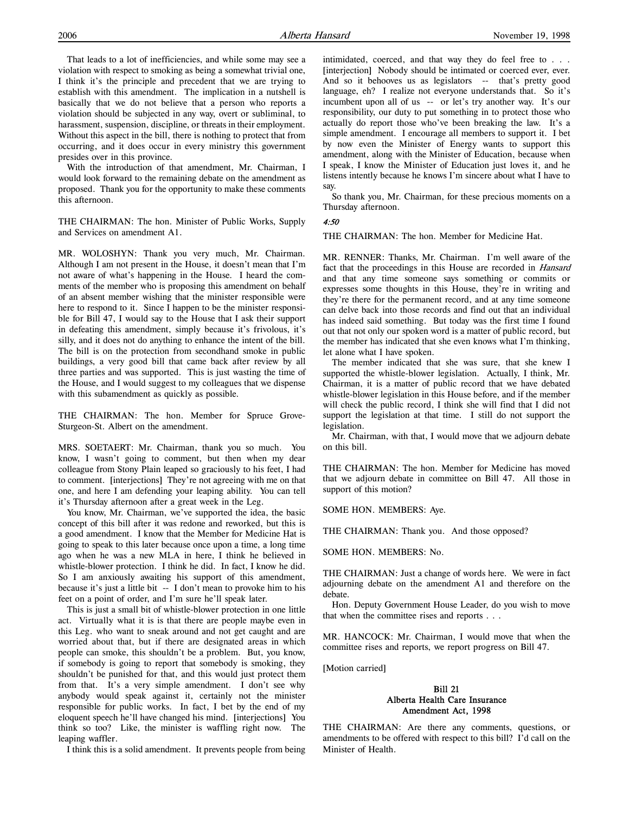That leads to a lot of inefficiencies, and while some may see a violation with respect to smoking as being a somewhat trivial one, I think it's the principle and precedent that we are trying to establish with this amendment. The implication in a nutshell is basically that we do not believe that a person who reports a violation should be subjected in any way, overt or subliminal, to harassment, suspension, discipline, or threats in their employment. Without this aspect in the bill, there is nothing to protect that from occurring, and it does occur in every ministry this government presides over in this province.

With the introduction of that amendment, Mr. Chairman, I would look forward to the remaining debate on the amendment as proposed. Thank you for the opportunity to make these comments this afternoon.

THE CHAIRMAN: The hon. Minister of Public Works, Supply and Services on amendment A1.

MR. WOLOSHYN: Thank you very much, Mr. Chairman. Although I am not present in the House, it doesn't mean that I'm not aware of what's happening in the House. I heard the comments of the member who is proposing this amendment on behalf of an absent member wishing that the minister responsible were here to respond to it. Since I happen to be the minister responsible for Bill 47, I would say to the House that I ask their support in defeating this amendment, simply because it's frivolous, it's silly, and it does not do anything to enhance the intent of the bill. The bill is on the protection from secondhand smoke in public buildings, a very good bill that came back after review by all three parties and was supported. This is just wasting the time of the House, and I would suggest to my colleagues that we dispense with this subamendment as quickly as possible.

THE CHAIRMAN: The hon. Member for Spruce Grove-Sturgeon-St. Albert on the amendment.

MRS. SOETAERT: Mr. Chairman, thank you so much. You know, I wasn't going to comment, but then when my dear colleague from Stony Plain leaped so graciously to his feet, I had to comment. [interjections] They're not agreeing with me on that one, and here I am defending your leaping ability. You can tell it's Thursday afternoon after a great week in the Leg.

You know, Mr. Chairman, we've supported the idea, the basic concept of this bill after it was redone and reworked, but this is a good amendment. I know that the Member for Medicine Hat is going to speak to this later because once upon a time, a long time ago when he was a new MLA in here, I think he believed in whistle-blower protection. I think he did. In fact, I know he did. So I am anxiously awaiting his support of this amendment, because it's just a little bit -- I don't mean to provoke him to his feet on a point of order, and I'm sure he'll speak later.

This is just a small bit of whistle-blower protection in one little act. Virtually what it is is that there are people maybe even in this Leg. who want to sneak around and not get caught and are worried about that, but if there are designated areas in which people can smoke, this shouldn't be a problem. But, you know, if somebody is going to report that somebody is smoking, they shouldn't be punished for that, and this would just protect them from that. It's a very simple amendment. I don't see why anybody would speak against it, certainly not the minister responsible for public works. In fact, I bet by the end of my eloquent speech he'll have changed his mind. [interjections] You think so too? Like, the minister is waffling right now. The leaping waffler.

I think this is a solid amendment. It prevents people from being

intimidated, coerced, and that way they do feel free to . . . [interjection] Nobody should be intimated or coerced ever, ever. And so it behooves us as legislators -- that's pretty good language, eh? I realize not everyone understands that. So it's incumbent upon all of us -- or let's try another way. It's our responsibility, our duty to put something in to protect those who actually do report those who've been breaking the law. It's a simple amendment. I encourage all members to support it. I bet by now even the Minister of Energy wants to support this amendment, along with the Minister of Education, because when I speak, I know the Minister of Education just loves it, and he listens intently because he knows I'm sincere about what I have to say.

So thank you, Mr. Chairman, for these precious moments on a Thursday afternoon.

#### 4:50

THE CHAIRMAN: The hon. Member for Medicine Hat.

MR. RENNER: Thanks, Mr. Chairman. I'm well aware of the fact that the proceedings in this House are recorded in Hansard and that any time someone says something or commits or expresses some thoughts in this House, they're in writing and they're there for the permanent record, and at any time someone can delve back into those records and find out that an individual has indeed said something. But today was the first time I found out that not only our spoken word is a matter of public record, but the member has indicated that she even knows what I'm thinking, let alone what I have spoken.

The member indicated that she was sure, that she knew I supported the whistle-blower legislation. Actually, I think, Mr. Chairman, it is a matter of public record that we have debated whistle-blower legislation in this House before, and if the member will check the public record, I think she will find that I did not support the legislation at that time. I still do not support the legislation.

Mr. Chairman, with that, I would move that we adjourn debate on this bill.

THE CHAIRMAN: The hon. Member for Medicine has moved that we adjourn debate in committee on Bill 47. All those in support of this motion?

SOME HON. MEMBERS: Aye.

THE CHAIRMAN: Thank you. And those opposed?

SOME HON. MEMBERS: No.

THE CHAIRMAN: Just a change of words here. We were in fact adjourning debate on the amendment A1 and therefore on the debate.

Hon. Deputy Government House Leader, do you wish to move that when the committee rises and reports . . .

MR. HANCOCK: Mr. Chairman, I would move that when the committee rises and reports, we report progress on Bill 47.

[Motion carried]

### Bill 21 Alberta Health Care Insurance Amendment Act, 1998

THE CHAIRMAN: Are there any comments, questions, or amendments to be offered with respect to this bill? I'd call on the Minister of Health.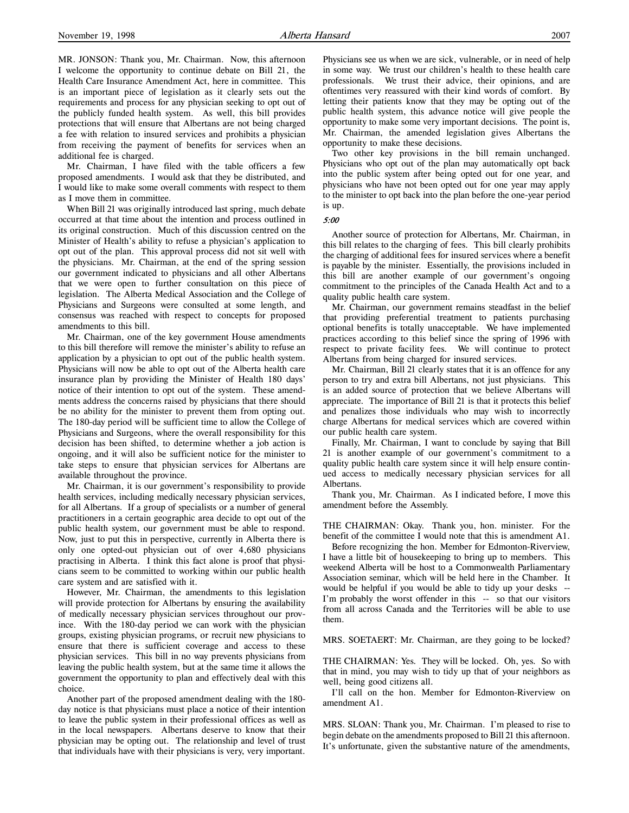MR. JONSON: Thank you, Mr. Chairman. Now, this afternoon I welcome the opportunity to continue debate on Bill 21, the Health Care Insurance Amendment Act, here in committee. This is an important piece of legislation as it clearly sets out the requirements and process for any physician seeking to opt out of the publicly funded health system. As well, this bill provides protections that will ensure that Albertans are not being charged a fee with relation to insured services and prohibits a physician from receiving the payment of benefits for services when an additional fee is charged.

Mr. Chairman, I have filed with the table officers a few proposed amendments. I would ask that they be distributed, and I would like to make some overall comments with respect to them as I move them in committee.

When Bill 21 was originally introduced last spring, much debate occurred at that time about the intention and process outlined in its original construction. Much of this discussion centred on the Minister of Health's ability to refuse a physician's application to opt out of the plan. This approval process did not sit well with the physicians. Mr. Chairman, at the end of the spring session our government indicated to physicians and all other Albertans that we were open to further consultation on this piece of legislation. The Alberta Medical Association and the College of Physicians and Surgeons were consulted at some length, and consensus was reached with respect to concepts for proposed amendments to this bill.

Mr. Chairman, one of the key government House amendments to this bill therefore will remove the minister's ability to refuse an application by a physician to opt out of the public health system. Physicians will now be able to opt out of the Alberta health care insurance plan by providing the Minister of Health 180 days' notice of their intention to opt out of the system. These amendments address the concerns raised by physicians that there should be no ability for the minister to prevent them from opting out. The 180-day period will be sufficient time to allow the College of Physicians and Surgeons, where the overall responsibility for this decision has been shifted, to determine whether a job action is ongoing, and it will also be sufficient notice for the minister to take steps to ensure that physician services for Albertans are available throughout the province.

Mr. Chairman, it is our government's responsibility to provide health services, including medically necessary physician services, for all Albertans. If a group of specialists or a number of general practitioners in a certain geographic area decide to opt out of the public health system, our government must be able to respond. Now, just to put this in perspective, currently in Alberta there is only one opted-out physician out of over 4,680 physicians practising in Alberta. I think this fact alone is proof that physicians seem to be committed to working within our public health care system and are satisfied with it.

However, Mr. Chairman, the amendments to this legislation will provide protection for Albertans by ensuring the availability of medically necessary physician services throughout our province. With the 180-day period we can work with the physician groups, existing physician programs, or recruit new physicians to ensure that there is sufficient coverage and access to these physician services. This bill in no way prevents physicians from leaving the public health system, but at the same time it allows the government the opportunity to plan and effectively deal with this choice.

Another part of the proposed amendment dealing with the 180 day notice is that physicians must place a notice of their intention to leave the public system in their professional offices as well as in the local newspapers. Albertans deserve to know that their physician may be opting out. The relationship and level of trust that individuals have with their physicians is very, very important.

Physicians see us when we are sick, vulnerable, or in need of help in some way. We trust our children's health to these health care professionals. We trust their advice, their opinions, and are oftentimes very reassured with their kind words of comfort. By letting their patients know that they may be opting out of the public health system, this advance notice will give people the opportunity to make some very important decisions. The point is, Mr. Chairman, the amended legislation gives Albertans the opportunity to make these decisions.

Two other key provisions in the bill remain unchanged. Physicians who opt out of the plan may automatically opt back into the public system after being opted out for one year, and physicians who have not been opted out for one year may apply to the minister to opt back into the plan before the one-year period is up.

5:00

Another source of protection for Albertans, Mr. Chairman, in this bill relates to the charging of fees. This bill clearly prohibits the charging of additional fees for insured services where a benefit is payable by the minister. Essentially, the provisions included in this bill are another example of our government's ongoing commitment to the principles of the Canada Health Act and to a quality public health care system.

Mr. Chairman, our government remains steadfast in the belief that providing preferential treatment to patients purchasing optional benefits is totally unacceptable. We have implemented practices according to this belief since the spring of 1996 with respect to private facility fees. We will continue to protect Albertans from being charged for insured services.

Mr. Chairman, Bill 21 clearly states that it is an offence for any person to try and extra bill Albertans, not just physicians. This is an added source of protection that we believe Albertans will appreciate. The importance of Bill 21 is that it protects this belief and penalizes those individuals who may wish to incorrectly charge Albertans for medical services which are covered within our public health care system.

Finally, Mr. Chairman, I want to conclude by saying that Bill 21 is another example of our government's commitment to a quality public health care system since it will help ensure continued access to medically necessary physician services for all Albertans.

Thank you, Mr. Chairman. As I indicated before, I move this amendment before the Assembly.

THE CHAIRMAN: Okay. Thank you, hon. minister. For the benefit of the committee I would note that this is amendment A1.

Before recognizing the hon. Member for Edmonton-Riverview, I have a little bit of housekeeping to bring up to members. This weekend Alberta will be host to a Commonwealth Parliamentary Association seminar, which will be held here in the Chamber. It would be helpful if you would be able to tidy up your desks -- I'm probably the worst offender in this -- so that our visitors from all across Canada and the Territories will be able to use them.

MRS. SOETAERT: Mr. Chairman, are they going to be locked?

THE CHAIRMAN: Yes. They will be locked. Oh, yes. So with that in mind, you may wish to tidy up that of your neighbors as well, being good citizens all.

I'll call on the hon. Member for Edmonton-Riverview on amendment A1.

MRS. SLOAN: Thank you, Mr. Chairman. I'm pleased to rise to begin debate on the amendments proposed to Bill 21 this afternoon. It's unfortunate, given the substantive nature of the amendments,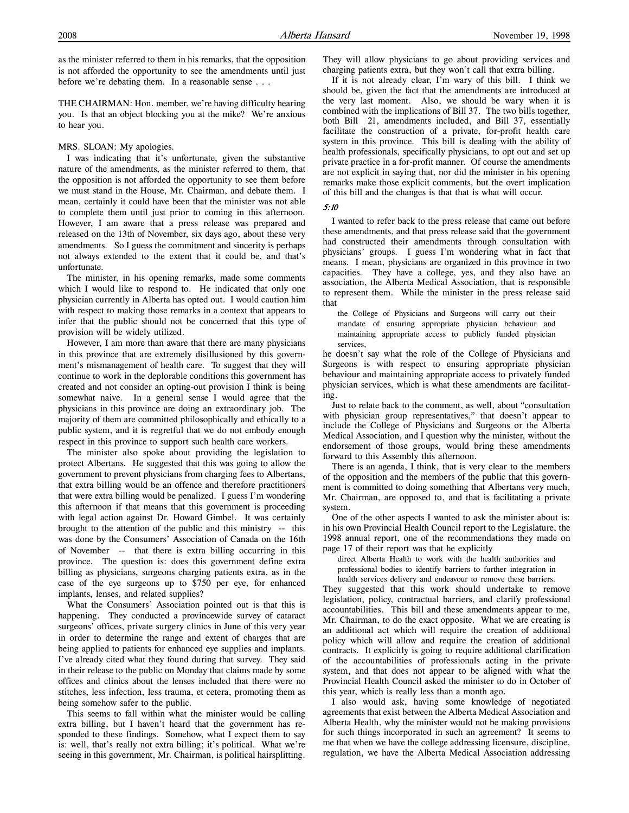as the minister referred to them in his remarks, that the opposition is not afforded the opportunity to see the amendments until just before we're debating them. In a reasonable sense . . .

THE CHAIRMAN: Hon. member, we're having difficulty hearing you. Is that an object blocking you at the mike? We're anxious to hear you.

#### MRS. SLOAN: My apologies.

I was indicating that it's unfortunate, given the substantive nature of the amendments, as the minister referred to them, that the opposition is not afforded the opportunity to see them before we must stand in the House, Mr. Chairman, and debate them. I mean, certainly it could have been that the minister was not able to complete them until just prior to coming in this afternoon. However, I am aware that a press release was prepared and released on the 13th of November, six days ago, about these very amendments. So I guess the commitment and sincerity is perhaps not always extended to the extent that it could be, and that's unfortunate.

The minister, in his opening remarks, made some comments which I would like to respond to. He indicated that only one physician currently in Alberta has opted out. I would caution him with respect to making those remarks in a context that appears to infer that the public should not be concerned that this type of provision will be widely utilized.

However, I am more than aware that there are many physicians in this province that are extremely disillusioned by this government's mismanagement of health care. To suggest that they will continue to work in the deplorable conditions this government has created and not consider an opting-out provision I think is being somewhat naive. In a general sense I would agree that the physicians in this province are doing an extraordinary job. The majority of them are committed philosophically and ethically to a public system, and it is regretful that we do not embody enough respect in this province to support such health care workers.

The minister also spoke about providing the legislation to protect Albertans. He suggested that this was going to allow the government to prevent physicians from charging fees to Albertans, that extra billing would be an offence and therefore practitioners that were extra billing would be penalized. I guess I'm wondering this afternoon if that means that this government is proceeding with legal action against Dr. Howard Gimbel. It was certainly brought to the attention of the public and this ministry -- this was done by the Consumers' Association of Canada on the 16th of November -- that there is extra billing occurring in this province. The question is: does this government define extra billing as physicians, surgeons charging patients extra, as in the case of the eye surgeons up to \$750 per eye, for enhanced implants, lenses, and related supplies?

What the Consumers' Association pointed out is that this is happening. They conducted a provincewide survey of cataract surgeons' offices, private surgery clinics in June of this very year in order to determine the range and extent of charges that are being applied to patients for enhanced eye supplies and implants. I've already cited what they found during that survey. They said in their release to the public on Monday that claims made by some offices and clinics about the lenses included that there were no stitches, less infection, less trauma, et cetera, promoting them as being somehow safer to the public.

This seems to fall within what the minister would be calling extra billing, but I haven't heard that the government has responded to these findings. Somehow, what I expect them to say is: well, that's really not extra billing; it's political. What we're seeing in this government, Mr. Chairman, is political hairsplitting.

They will allow physicians to go about providing services and charging patients extra, but they won't call that extra billing.

If it is not already clear, I'm wary of this bill. I think we should be, given the fact that the amendments are introduced at the very last moment. Also, we should be wary when it is combined with the implications of Bill 37. The two bills together, both Bill 21, amendments included, and Bill 37, essentially facilitate the construction of a private, for-profit health care system in this province. This bill is dealing with the ability of health professionals, specifically physicians, to opt out and set up private practice in a for-profit manner. Of course the amendments are not explicit in saying that, nor did the minister in his opening remarks make those explicit comments, but the overt implication of this bill and the changes is that that is what will occur.

#### 5:10

I wanted to refer back to the press release that came out before these amendments, and that press release said that the government had constructed their amendments through consultation with physicians' groups. I guess I'm wondering what in fact that means. I mean, physicians are organized in this province in two capacities. They have a college, yes, and they also have an association, the Alberta Medical Association, that is responsible to represent them. While the minister in the press release said that

the College of Physicians and Surgeons will carry out their mandate of ensuring appropriate physician behaviour and maintaining appropriate access to publicly funded physician services,

he doesn't say what the role of the College of Physicians and Surgeons is with respect to ensuring appropriate physician behaviour and maintaining appropriate access to privately funded physician services, which is what these amendments are facilitating.

Just to relate back to the comment, as well, about "consultation with physician group representatives," that doesn't appear to include the College of Physicians and Surgeons or the Alberta Medical Association, and I question why the minister, without the endorsement of those groups, would bring these amendments forward to this Assembly this afternoon.

There is an agenda, I think, that is very clear to the members of the opposition and the members of the public that this government is committed to doing something that Albertans very much, Mr. Chairman, are opposed to, and that is facilitating a private system.

One of the other aspects I wanted to ask the minister about is: in his own Provincial Health Council report to the Legislature, the 1998 annual report, one of the recommendations they made on page 17 of their report was that he explicitly

direct Alberta Health to work with the health authorities and professional bodies to identify barriers to further integration in health services delivery and endeavour to remove these barriers.

They suggested that this work should undertake to remove legislation, policy, contractual barriers, and clarify professional accountabilities. This bill and these amendments appear to me, Mr. Chairman, to do the exact opposite. What we are creating is an additional act which will require the creation of additional policy which will allow and require the creation of additional contracts. It explicitly is going to require additional clarification of the accountabilities of professionals acting in the private system, and that does not appear to be aligned with what the Provincial Health Council asked the minister to do in October of this year, which is really less than a month ago.

I also would ask, having some knowledge of negotiated agreements that exist between the Alberta Medical Association and Alberta Health, why the minister would not be making provisions for such things incorporated in such an agreement? It seems to me that when we have the college addressing licensure, discipline, regulation, we have the Alberta Medical Association addressing